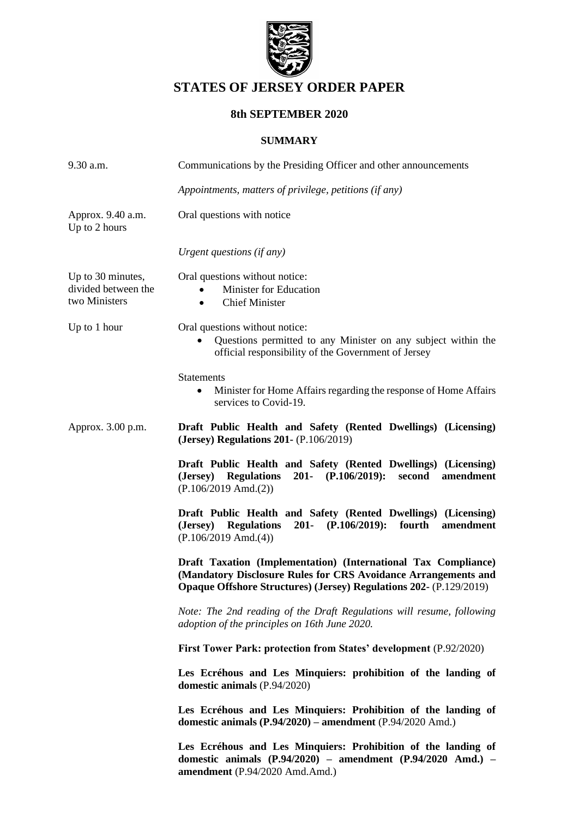

# **STATES OF JERSEY ORDER PAPER**

### **8th SEPTEMBER 2020**

### **SUMMARY**

| $9.30$ a.m.                                                       | Communications by the Presiding Officer and other announcements                                                                                                                                               |  |
|-------------------------------------------------------------------|---------------------------------------------------------------------------------------------------------------------------------------------------------------------------------------------------------------|--|
|                                                                   | Appointments, matters of privilege, petitions (if any)                                                                                                                                                        |  |
| Approx. 9.40 a.m.<br>Up to 2 hours                                | Oral questions with notice                                                                                                                                                                                    |  |
|                                                                   | Urgent questions (if any)                                                                                                                                                                                     |  |
| Up to 30 minutes,<br>divided between the<br>two Ministers         | Oral questions without notice:<br>Minister for Education<br><b>Chief Minister</b><br>٠                                                                                                                        |  |
| Up to 1 hour                                                      | Oral questions without notice:<br>Questions permitted to any Minister on any subject within the<br>official responsibility of the Government of Jersey                                                        |  |
|                                                                   | <b>Statements</b><br>Minister for Home Affairs regarding the response of Home Affairs<br>٠<br>services to Covid-19.                                                                                           |  |
| Approx. 3.00 p.m.                                                 | Draft Public Health and Safety (Rented Dwellings) (Licensing)<br>(Jersey) Regulations 201- (P.106/2019)                                                                                                       |  |
|                                                                   | Draft Public Health and Safety (Rented Dwellings) (Licensing)<br>(Jersey) Regulations 201- (P.106/2019):<br>amendment<br>second<br>$(P.106/2019 \text{ Amd.}(2))$                                             |  |
|                                                                   | Draft Public Health and Safety (Rented Dwellings) (Licensing)<br>201- $(P.106/2019)$ :<br>fourth<br>amendment<br>( <b>Jersey</b> )<br><b>Regulations</b><br>$(P.106/2019$ Amd. $(4))$                         |  |
|                                                                   | Draft Taxation (Implementation) (International Tax Compliance)<br>(Mandatory Disclosure Rules for CRS Avoidance Arrangements and<br><b>Opaque Offshore Structures) (Jersey) Regulations 202- (P.129/2019)</b> |  |
|                                                                   | Note: The 2nd reading of the Draft Regulations will resume, following<br>adoption of the principles on 16th June 2020.                                                                                        |  |
| First Tower Park: protection from States' development (P.92/2020) |                                                                                                                                                                                                               |  |
|                                                                   | Les Ecréhous and Les Minquiers: prohibition of the landing of<br>domestic animals (P.94/2020)                                                                                                                 |  |
|                                                                   | Les Ecréhous and Les Minquiers: Prohibition of the landing of<br>domestic animals (P.94/2020) - amendment (P.94/2020 Amd.)                                                                                    |  |
|                                                                   | Les Ecréhous and Les Minquiers: Prohibition of the landing of<br>domestic animals $(P.94/2020)$ – amendment $(P.94/2020$ Amd.) –<br>amendment (P.94/2020 Amd.Amd.)                                            |  |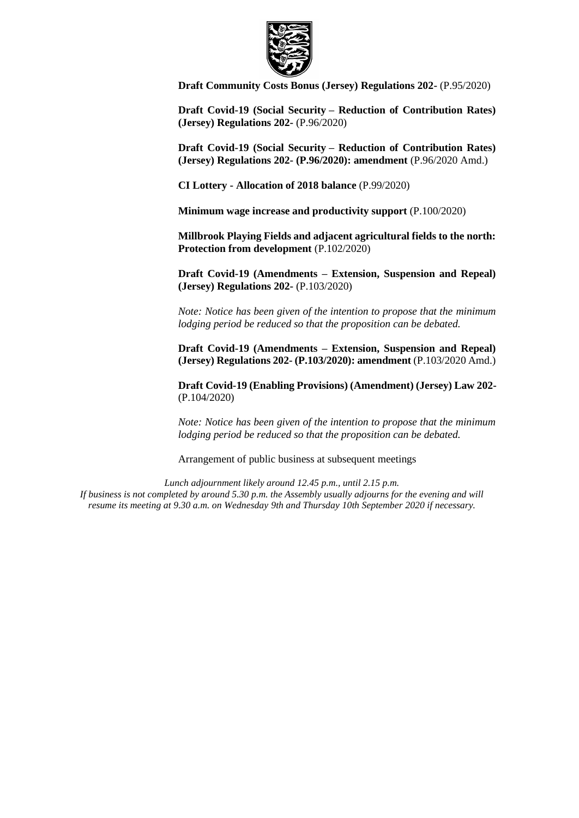

**[Draft Community Costs Bonus \(Jersey\) Regulations 202-](https://statesassembly.gov.je/AssemblyPropositions/2020/P.95-2020.pdf)** (P.95/2020)

**Draft Covid-19 (Social Security – [Reduction of Contribution Rates\)](https://statesassembly.gov.je/AssemblyPropositions/2020/P.96-2020.pdf)  [\(Jersey\) Regulations 202-](https://statesassembly.gov.je/AssemblyPropositions/2020/P.96-2020.pdf)** (P.96/2020)

**Draft Covid-19 (Social Security – [Reduction of Contribution Rates\)](https://statesassembly.gov.je/AssemblyPropositions/2020/P.96-2020%20Amd.pdf)  [\(Jersey\) Regulations 202-](https://statesassembly.gov.je/AssemblyPropositions/2020/P.96-2020%20Amd.pdf) (P.96/2020): amendment** (P.96/2020 Amd.)

**CI Lottery - [Allocation of 2018 balance](https://statesassembly.gov.je/AssemblyPropositions/2020/P.99-2020.pdf)** (P.99/2020)

**[Minimum wage increase and productivity support](https://statesassembly.gov.je/AssemblyPropositions/2020/P.100-2020.pdf)** (P.100/2020)

**[Millbrook Playing Fields and adjacent agricultural fields to the north:](https://statesassembly.gov.je/AssemblyPropositions/2020/P.102-2020.pdf)  [Protection from development](https://statesassembly.gov.je/AssemblyPropositions/2020/P.102-2020.pdf)** (P.102/2020)

**Draft Covid-19 (Amendments – [Extension, Suspension and Repeal\)](https://statesassembly.gov.je/AssemblyPropositions/2020/P.103-2020.pdf)  [\(Jersey\) Regulations 202-](https://statesassembly.gov.je/AssemblyPropositions/2020/P.103-2020.pdf)** (P.103/2020)

*Note: Notice has been given of the intention to propose that the minimum lodging period be reduced so that the proposition can be debated.*

**Draft Covid-19 (Amendments – [Extension, Suspension and Repeal\)](https://statesassembly.gov.je/AssemblyPropositions/2020/P.103-2020%20Amd.pdf)  (Jersey) Regulations 202- [\(P.103/2020\): amendment](https://statesassembly.gov.je/AssemblyPropositions/2020/P.103-2020%20Amd.pdf)** (P.103/2020 Amd.)

**[Draft Covid-19 \(Enabling Provisions\) \(Amendment\) \(Jersey\) Law 202-](https://statesassembly.gov.je/AssemblyPropositions/2020/P.104-2020.pdf)** [\(P.104/2020\)](https://statesassembly.gov.je/AssemblyPropositions/2020/P.104-2020.pdf) 

*Note: Notice has been given of the intention to propose that the minimum lodging period be reduced so that the proposition can be debated.*

Arrangement of public business at subsequent meetings

*Lunch adjournment likely around 12.45 p.m., until 2.15 p.m. If business is not completed by around 5.30 p.m. the Assembly usually adjourns for the evening and will resume its meeting at 9.30 a.m. on Wednesday 9th and Thursday 10th September 2020 if necessary.*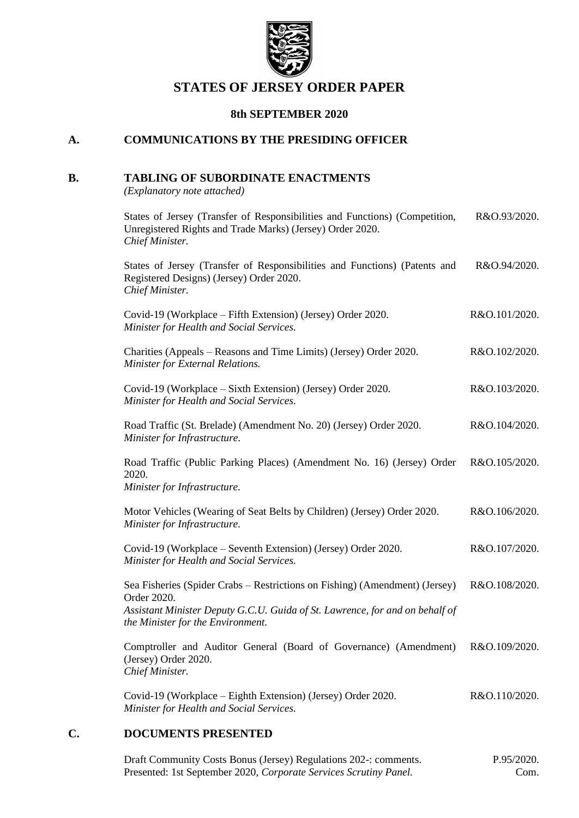

## **STATES OF JERSEY ORDER PAPER**

### **8th SEPTEMBER 2020**

### **A. COMMUNICATIONS BY THE PRESIDING OFFICER**

### **B. TABLING OF SUBORDINATE ENACTMENTS**

*(Explanatory note attached)*

| States of Jersey (Transfer of Responsibilities and Functions) (Competition,<br>Unregistered Rights and Trade Marks) (Jersey) Order 2020.<br>Chief Minister.                                                     | R&O.93/2020.  |
|-----------------------------------------------------------------------------------------------------------------------------------------------------------------------------------------------------------------|---------------|
| States of Jersey (Transfer of Responsibilities and Functions) (Patents and<br>Registered Designs) (Jersey) Order 2020.<br>Chief Minister.                                                                       | R&O.94/2020.  |
| Covid-19 (Workplace – Fifth Extension) (Jersey) Order 2020.<br>Minister for Health and Social Services.                                                                                                         | R&O.101/2020. |
| Charities (Appeals – Reasons and Time Limits) (Jersey) Order 2020.<br>Minister for External Relations.                                                                                                          | R&O.102/2020. |
| Covid-19 (Workplace - Sixth Extension) (Jersey) Order 2020.<br>Minister for Health and Social Services.                                                                                                         | R&O.103/2020. |
| Road Traffic (St. Brelade) (Amendment No. 20) (Jersey) Order 2020.<br>Minister for Infrastructure.                                                                                                              | R&O.104/2020. |
| Road Traffic (Public Parking Places) (Amendment No. 16) (Jersey) Order<br>2020.<br>Minister for Infrastructure.                                                                                                 | R&O.105/2020. |
| Motor Vehicles (Wearing of Seat Belts by Children) (Jersey) Order 2020.<br>Minister for Infrastructure.                                                                                                         | R&O.106/2020. |
| Covid-19 (Workplace – Seventh Extension) (Jersey) Order 2020.<br>Minister for Health and Social Services.                                                                                                       | R&O.107/2020. |
| Sea Fisheries (Spider Crabs – Restrictions on Fishing) (Amendment) (Jersey)<br>Order 2020.<br>Assistant Minister Deputy G.C.U. Guida of St. Lawrence, for and on behalf of<br>the Minister for the Environment. | R&O.108/2020. |
| Comptroller and Auditor General (Board of Governance) (Amendment)<br>(Jersey) Order 2020.<br>Chief Minister.                                                                                                    | R&O.109/2020. |
| Covid-19 (Workplace – Eighth Extension) (Jersey) Order 2020.<br>Minister for Health and Social Services.                                                                                                        | R&O.110/2020. |

### **C. DOCUMENTS PRESENTED**

[Draft Community Costs Bonus \(Jersey\) Regulations 202-: comments.](https://statesassembly.gov.je/AssemblyPropositions/2020/P.95-2020Com.pdf) Presented: 1st September 2020, *[Corporate Services Scrutiny Panel.](https://statesassembly.gov.je/AssemblyPropositions/2020/P.95-2020Com.pdf)* [P.95/2020.](https://statesassembly.gov.je/AssemblyPropositions/2020/P.95-2020Com.pdf) [Com.](https://statesassembly.gov.je/AssemblyPropositions/2020/P.95-2020Com.pdf)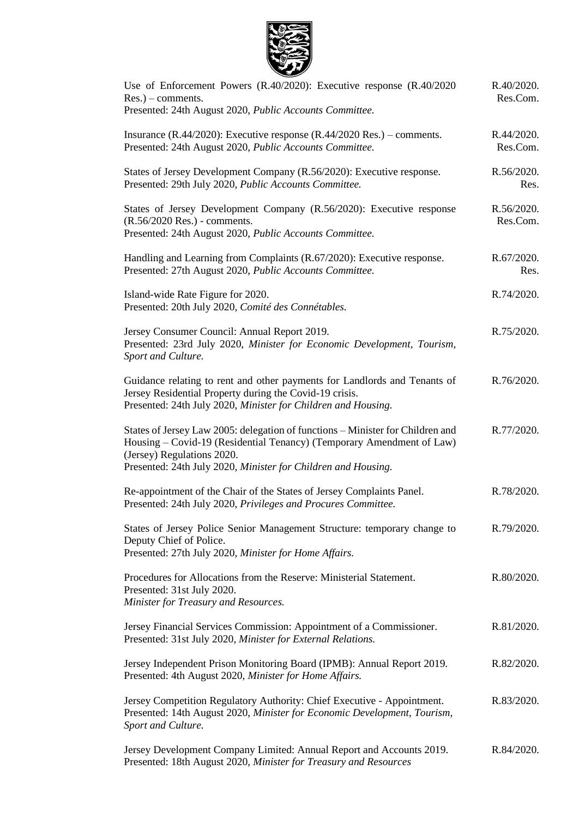

| Use of Enforcement Powers (R.40/2020): Executive response (R.40/2020<br>$Res.$ ) – comments.<br>Presented: 24th August 2020, Public Accounts Committee.                                                                                                | R.40/2020.<br>Res.Com. |
|--------------------------------------------------------------------------------------------------------------------------------------------------------------------------------------------------------------------------------------------------------|------------------------|
| Insurance (R.44/2020): Executive response (R.44/2020 Res.) – comments.<br>Presented: 24th August 2020, Public Accounts Committee.                                                                                                                      | R.44/2020.<br>Res.Com. |
| States of Jersey Development Company (R.56/2020): Executive response.<br>Presented: 29th July 2020, Public Accounts Committee.                                                                                                                         | R.56/2020.<br>Res.     |
| States of Jersey Development Company (R.56/2020): Executive response<br>(R.56/2020 Res.) - comments.<br>Presented: 24th August 2020, Public Accounts Committee.                                                                                        | R.56/2020.<br>Res.Com. |
| Handling and Learning from Complaints (R.67/2020): Executive response.<br>Presented: 27th August 2020, Public Accounts Committee.                                                                                                                      | R.67/2020.<br>Res.     |
| Island-wide Rate Figure for 2020.<br>Presented: 20th July 2020, Comité des Connétables.                                                                                                                                                                | R.74/2020.             |
| Jersey Consumer Council: Annual Report 2019.<br>Presented: 23rd July 2020, Minister for Economic Development, Tourism,<br>Sport and Culture.                                                                                                           | R.75/2020.             |
| Guidance relating to rent and other payments for Landlords and Tenants of<br>Jersey Residential Property during the Covid-19 crisis.<br>Presented: 24th July 2020, Minister for Children and Housing.                                                  | R.76/2020.             |
| States of Jersey Law 2005: delegation of functions – Minister for Children and<br>Housing - Covid-19 (Residential Tenancy) (Temporary Amendment of Law)<br>(Jersey) Regulations 2020.<br>Presented: 24th July 2020, Minister for Children and Housing. | R.77/2020.             |
| Re-appointment of the Chair of the States of Jersey Complaints Panel.<br>Presented: 24th July 2020, Privileges and Procures Committee.                                                                                                                 | R.78/2020.             |
| States of Jersey Police Senior Management Structure: temporary change to<br>Deputy Chief of Police.<br>Presented: 27th July 2020, Minister for Home Affairs.                                                                                           | R.79/2020.             |
| Procedures for Allocations from the Reserve: Ministerial Statement.<br>Presented: 31st July 2020.<br>Minister for Treasury and Resources.                                                                                                              | R.80/2020.             |
| Jersey Financial Services Commission: Appointment of a Commissioner.<br>Presented: 31st July 2020, Minister for External Relations.                                                                                                                    | R.81/2020.             |
| Jersey Independent Prison Monitoring Board (IPMB): Annual Report 2019.<br>Presented: 4th August 2020, Minister for Home Affairs.                                                                                                                       | R.82/2020.             |
| Jersey Competition Regulatory Authority: Chief Executive - Appointment.<br>Presented: 14th August 2020, Minister for Economic Development, Tourism,<br>Sport and Culture.                                                                              | R.83/2020.             |
| Jersey Development Company Limited: Annual Report and Accounts 2019.<br>Presented: 18th August 2020, Minister for Treasury and Resources                                                                                                               | R.84/2020.             |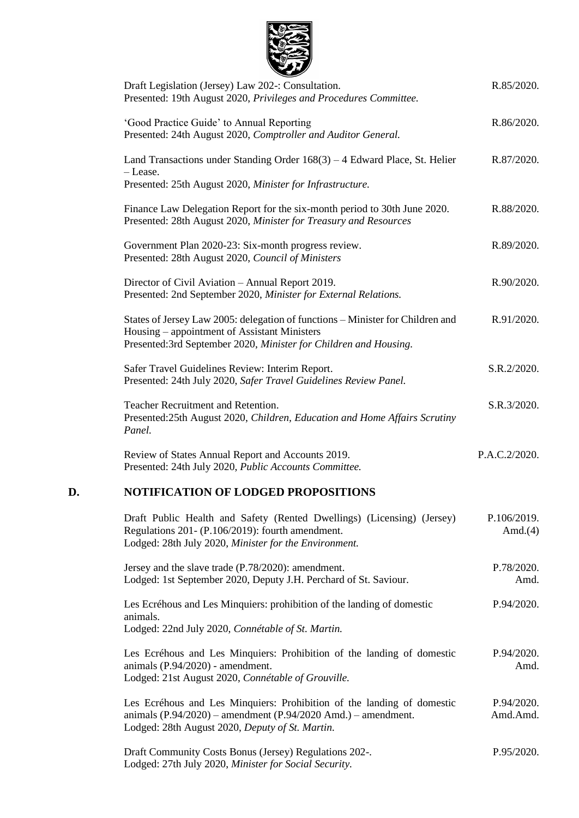

|    | Draft Legislation (Jersey) Law 202-: Consultation.<br>Presented: 19th August 2020, Privileges and Procedures Committee.                                                                            | R.85/2020.                |
|----|----------------------------------------------------------------------------------------------------------------------------------------------------------------------------------------------------|---------------------------|
|    | 'Good Practice Guide' to Annual Reporting<br>Presented: 24th August 2020, Comptroller and Auditor General.                                                                                         | R.86/2020.                |
|    | Land Transactions under Standing Order $168(3) - 4$ Edward Place, St. Helier<br>- Lease.<br>Presented: 25th August 2020, Minister for Infrastructure.                                              | R.87/2020.                |
|    | Finance Law Delegation Report for the six-month period to 30th June 2020.<br>Presented: 28th August 2020, Minister for Treasury and Resources                                                      | R.88/2020.                |
|    | Government Plan 2020-23: Six-month progress review.<br>Presented: 28th August 2020, Council of Ministers                                                                                           | R.89/2020.                |
|    | Director of Civil Aviation - Annual Report 2019.<br>Presented: 2nd September 2020, Minister for External Relations.                                                                                | R.90/2020.                |
|    | States of Jersey Law 2005: delegation of functions - Minister for Children and<br>Housing – appointment of Assistant Ministers<br>Presented:3rd September 2020, Minister for Children and Housing. | R.91/2020.                |
|    | Safer Travel Guidelines Review: Interim Report.<br>Presented: 24th July 2020, Safer Travel Guidelines Review Panel.                                                                                | S.R.2/2020.               |
|    | Teacher Recruitment and Retention.<br>Presented:25th August 2020, Children, Education and Home Affairs Scrutiny<br>Panel.                                                                          | S.R.3/2020.               |
|    | Review of States Annual Report and Accounts 2019.<br>Presented: 24th July 2020, Public Accounts Committee.                                                                                         | P.A.C.2/2020.             |
| D. | <b>NOTIFICATION OF LODGED PROPOSITIONS</b>                                                                                                                                                         |                           |
|    | Draft Public Health and Safety (Rented Dwellings) (Licensing) (Jersey)<br>Regulations 201- (P.106/2019): fourth amendment.<br>Lodged: 28th July 2020, Minister for the Environment.                | P.106/2019.<br>Amd. $(4)$ |
|    | Jersey and the slave trade (P.78/2020): amendment.<br>Lodged: 1st September 2020, Deputy J.H. Perchard of St. Saviour.                                                                             | P.78/2020.<br>Amd.        |
|    | Les Ecréhous and Les Minquiers: prohibition of the landing of domestic<br>animals.<br>Lodged: 22nd July 2020, Connétable of St. Martin.                                                            | P.94/2020.                |
|    |                                                                                                                                                                                                    |                           |

[Les Ecréhous and Les Minquiers: Prohibition of the landing of domestic](https://statesassembly.gov.je/AssemblyPropositions/2020/P.94-2020%20Amd.pdf)  [animals \(P.94/2020\) -](https://statesassembly.gov.je/AssemblyPropositions/2020/P.94-2020%20Amd.pdf) amendment. [Lodged: 21st August 2020,](https://statesassembly.gov.je/AssemblyPropositions/2020/P.94-2020%20Amd.pdf) *Connétable of Grouville.* [P.94/2020.](https://statesassembly.gov.je/AssemblyPropositions/2020/P.94-2020%20Amd.pdf) [Amd.](https://statesassembly.gov.je/AssemblyPropositions/2020/P.94-2020%20Amd.pdf)

[Les Ecréhous and Les Minquiers: Prohibition of the landing of domestic](https://statesassembly.gov.je/AssemblyPropositions/2020/P.94-2020%20AmdAmd.pdf)  animals (P.94/2020) – [amendment \(P.94/2020 Amd.\) –](https://statesassembly.gov.je/AssemblyPropositions/2020/P.94-2020%20AmdAmd.pdf) amendment. [Lodged: 28th August 2020,](https://statesassembly.gov.je/AssemblyPropositions/2020/P.94-2020%20AmdAmd.pdf) *Deputy of St. Martin.* [P.94/2020.](https://statesassembly.gov.je/AssemblyPropositions/2020/P.94-2020%20AmdAmd.pdf) [Amd.Amd.](https://statesassembly.gov.je/AssemblyPropositions/2020/P.94-2020%20AmdAmd.pdf)

[Draft Community Costs Bonus \(Jersey\) Regulations 202-.](https://statesassembly.gov.je/AssemblyPropositions/2020/P.95-2020.pdf) Lodged: 27th July 2020, *[Minister for Social Security.](https://statesassembly.gov.je/AssemblyPropositions/2020/P.95-2020.pdf)* [P.95/2020.](https://statesassembly.gov.je/AssemblyPropositions/2020/P.95-2020.pdf)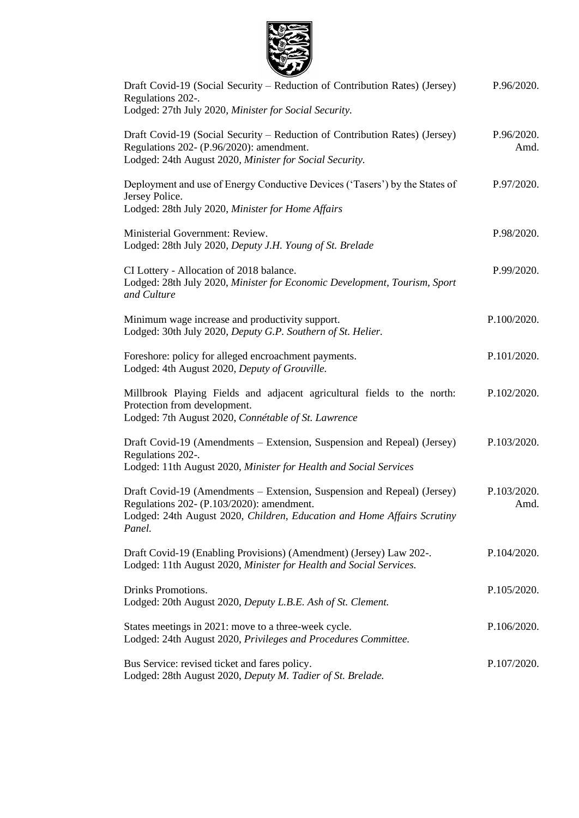

| Draft Covid-19 (Social Security – Reduction of Contribution Rates) (Jersey)<br>Regulations 202-.<br>Lodged: 27th July 2020, Minister for Social Security.                                                 | P.96/2020.          |
|-----------------------------------------------------------------------------------------------------------------------------------------------------------------------------------------------------------|---------------------|
| Draft Covid-19 (Social Security – Reduction of Contribution Rates) (Jersey)<br>Regulations 202- (P.96/2020): amendment.<br>Lodged: 24th August 2020, Minister for Social Security.                        | P.96/2020.<br>Amd.  |
| Deployment and use of Energy Conductive Devices ('Tasers') by the States of<br>Jersey Police.<br>Lodged: 28th July 2020, Minister for Home Affairs                                                        | P.97/2020.          |
| Ministerial Government: Review.<br>Lodged: 28th July 2020, Deputy J.H. Young of St. Brelade                                                                                                               | P.98/2020.          |
| CI Lottery - Allocation of 2018 balance.<br>Lodged: 28th July 2020, Minister for Economic Development, Tourism, Sport<br>and Culture                                                                      | P.99/2020.          |
| Minimum wage increase and productivity support.<br>Lodged: 30th July 2020, Deputy G.P. Southern of St. Helier.                                                                                            | P.100/2020.         |
| Foreshore: policy for alleged encroachment payments.<br>Lodged: 4th August 2020, Deputy of Grouville.                                                                                                     | P.101/2020.         |
| Millbrook Playing Fields and adjacent agricultural fields to the north:<br>Protection from development.<br>Lodged: 7th August 2020, Connétable of St. Lawrence                                            | P.102/2020.         |
| Draft Covid-19 (Amendments – Extension, Suspension and Repeal) (Jersey)<br>Regulations 202-.<br>Lodged: 11th August 2020, Minister for Health and Social Services                                         | P.103/2020.         |
| Draft Covid-19 (Amendments – Extension, Suspension and Repeal) (Jersey)<br>Regulations 202- (P.103/2020): amendment.<br>Lodged: 24th August 2020, Children, Education and Home Affairs Scrutiny<br>Panel. | P.103/2020.<br>Amd. |
| Draft Covid-19 (Enabling Provisions) (Amendment) (Jersey) Law 202-.<br>Lodged: 11th August 2020, Minister for Health and Social Services.                                                                 | P.104/2020.         |
| Drinks Promotions.<br>Lodged: 20th August 2020, Deputy L.B.E. Ash of St. Clement.                                                                                                                         | P.105/2020.         |
| States meetings in 2021: move to a three-week cycle.<br>Lodged: 24th August 2020, Privileges and Procedures Committee.                                                                                    | P.106/2020.         |
| Bus Service: revised ticket and fares policy.<br>Lodged: 28th August 2020, Deputy M. Tadier of St. Brelade.                                                                                               | P.107/2020.         |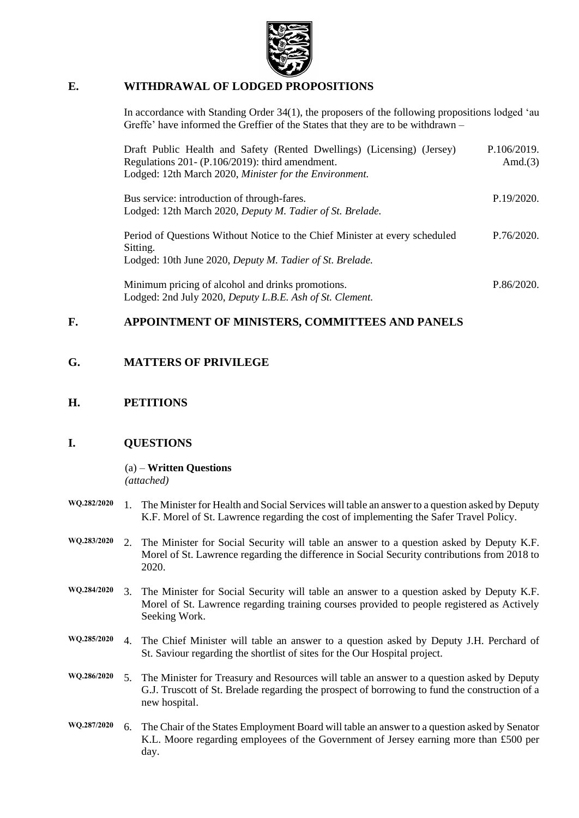

### **E. WITHDRAWAL OF LODGED PROPOSITIONS**

In accordance with Standing Order 34(1), the proposers of the following propositions lodged 'au Greffe' have informed the Greffier of the States that they are to be withdrawn –

| Draft Public Health and Safety (Rented Dwellings) (Licensing) (Jersey)<br>Regulations 201- (P.106/2019): third amendment.<br>Lodged: 12th March 2020, Minister for the Environment. | P.106/2019.<br>Amd. $(3)$ |
|-------------------------------------------------------------------------------------------------------------------------------------------------------------------------------------|---------------------------|
| Bus service: introduction of through-fares.<br>Lodged: 12th March 2020, Deputy M. Tadier of St. Brelade.                                                                            | P.19/2020.                |
| Period of Questions Without Notice to the Chief Minister at every scheduled<br>Sitting.<br>Lodged: 10th June 2020, Deputy M. Tadier of St. Brelade.                                 | P.76/2020.                |
| Minimum pricing of alcohol and drinks promotions.<br>Lodged: 2nd July 2020, Deputy L.B.E. Ash of St. Clement.                                                                       | P.86/2020.                |

### **F. APPOINTMENT OF MINISTERS, COMMITTEES AND PANELS**

### **G. MATTERS OF PRIVILEGE**

### **H. PETITIONS**

### **I. QUESTIONS**

(a) – **Written Questions** *(attached)*

- **WQ.282/2020** 1. The Minister for Health and Social Services will table an answer to a question asked by Deputy K.F. Morel of St. Lawrence regarding the cost of implementing the Safer Travel Policy.
- **WQ.283/2020** 2. The Minister for Social Security will table an answer to a question asked by Deputy K.F. Morel of St. Lawrence regarding the difference in Social Security contributions from 2018 to 2020.
- **WQ.284/2020** 3. The Minister for Social Security will table an answer to a question asked by Deputy K.F. Morel of St. Lawrence regarding training courses provided to people registered as Actively Seeking Work.
- **WQ.285/2020** 4. The Chief Minister will table an answer to a question asked by Deputy J.H. Perchard of St. Saviour regarding the shortlist of sites for the Our Hospital project.
- **WQ.286/2020** 5. The Minister for Treasury and Resources will table an answer to a question asked by Deputy G.J. Truscott of St. Brelade regarding the prospect of borrowing to fund the construction of a new hospital.
- **WQ.287/2020** 6. The Chair of the States Employment Board will table an answer to a question asked by Senator K.L. Moore regarding employees of the Government of Jersey earning more than £500 per day.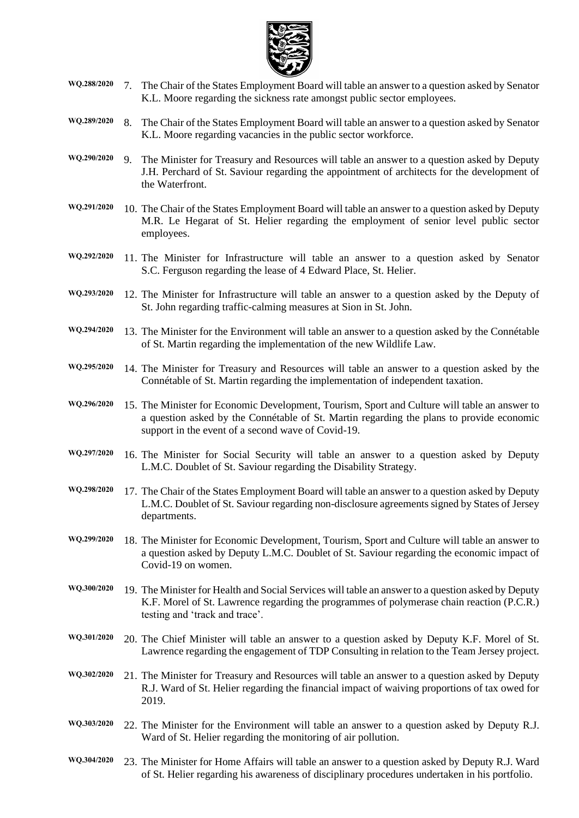

- **WQ.288/2020** 7. The Chair of the States Employment Board will table an answer to a question asked by Senator K.L. Moore regarding the sickness rate amongst public sector employees.
- **WQ.289/2020** 8. The Chair of the States Employment Board will table an answer to a question asked by Senator K.L. Moore regarding vacancies in the public sector workforce.
- **WQ.290/2020** 9. The Minister for Treasury and Resources will table an answer to a question asked by Deputy J.H. Perchard of St. Saviour regarding the appointment of architects for the development of the Waterfront.
- **WQ.291/2020** 10. The Chair of the States Employment Board will table an answer to a question asked by Deputy M.R. Le Hegarat of St. Helier regarding the employment of senior level public sector employees.
- **WQ.292/2020** 11. The Minister for Infrastructure will table an answer to a question asked by Senator S.C. Ferguson regarding the lease of 4 Edward Place, St. Helier.
- **WQ.293/2020** 12. The Minister for Infrastructure will table an answer to a question asked by the Deputy of St. John regarding traffic-calming measures at Sion in St. John.
- **WQ.294/2020** 13. The Minister for the Environment will table an answer to a question asked by the Connétable of St. Martin regarding the implementation of the new Wildlife Law.
- **WQ.295/2020** 14. The Minister for Treasury and Resources will table an answer to a question asked by the Connétable of St. Martin regarding the implementation of independent taxation.
- **WQ.296/2020** 15. The Minister for Economic Development, Tourism, Sport and Culture will table an answer to a question asked by the Connétable of St. Martin regarding the plans to provide economic support in the event of a second wave of Covid-19.
- **WQ.297/2020** 16. The Minister for Social Security will table an answer to a question asked by Deputy L.M.C. Doublet of St. Saviour regarding the Disability Strategy.
- **WQ.298/2020** 17. The Chair of the States Employment Board will table an answer to a question asked by Deputy L.M.C. Doublet of St. Saviour regarding non-disclosure agreements signed by States of Jersey departments.
- **WQ.299/2020** 18. The Minister for Economic Development, Tourism, Sport and Culture will table an answer to a question asked by Deputy L.M.C. Doublet of St. Saviour regarding the economic impact of Covid-19 on women.
- **WQ.300/2020** 19. The Minister for Health and Social Services will table an answer to a question asked by Deputy K.F. Morel of St. Lawrence regarding the programmes of polymerase chain reaction (P.C.R.) testing and 'track and trace'.
- **WQ.301/2020** 20. The Chief Minister will table an answer to a question asked by Deputy K.F. Morel of St. Lawrence regarding the engagement of TDP Consulting in relation to the Team Jersey project.
- **WQ.302/2020** 21. The Minister for Treasury and Resources will table an answer to a question asked by Deputy R.J. Ward of St. Helier regarding the financial impact of waiving proportions of tax owed for 2019.
- **WQ.303/2020** 22. The Minister for the Environment will table an answer to a question asked by Deputy R.J. Ward of St. Helier regarding the monitoring of air pollution.
- **WQ.304/2020** 23. The Minister for Home Affairs will table an answer to a question asked by Deputy R.J. Ward of St. Helier regarding his awareness of disciplinary procedures undertaken in his portfolio.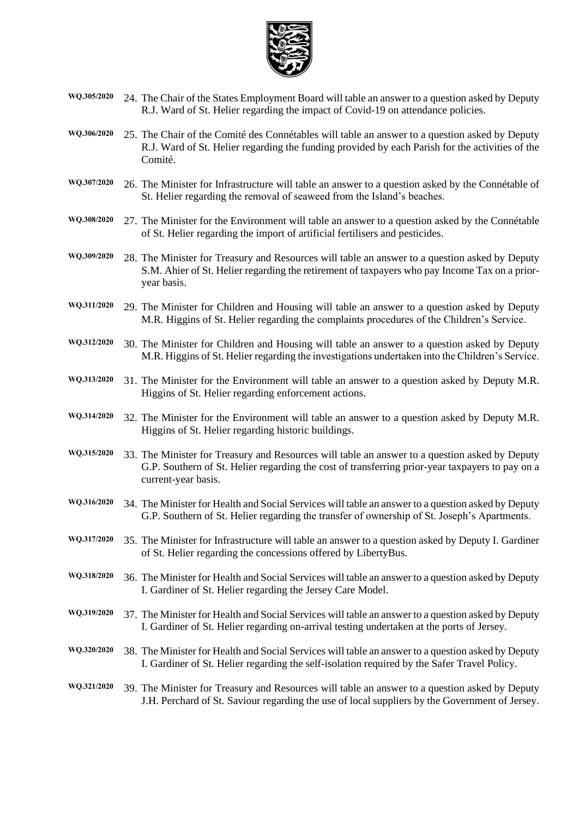

- **WQ.305/2020** 24. The Chair of the States Employment Board will table an answer to a question asked by Deputy R.J. Ward of St. Helier regarding the impact of Covid-19 on attendance policies.
- **WQ.306/2020** 25. The Chair of the Comité des Connétables will table an answer to a question asked by Deputy R.J. Ward of St. Helier regarding the funding provided by each Parish for the activities of the Comité.
- **WQ.307/2020** 26. The Minister for Infrastructure will table an answer to a question asked by the Connétable of St. Helier regarding the removal of seaweed from the Island's beaches.
- **WQ.308/2020** 27. The Minister for the Environment will table an answer to a question asked by the Connétable of St. Helier regarding the import of artificial fertilisers and pesticides.
- **WQ.309/2020** 28. The Minister for Treasury and Resources will table an answer to a question asked by Deputy S.M. Ahier of St. Helier regarding the retirement of taxpayers who pay Income Tax on a prioryear basis.
- **WQ.311/2020** 29. The Minister for Children and Housing will table an answer to a question asked by Deputy M.R. Higgins of St. Helier regarding the complaints procedures of the Children's Service.
- **WQ.312/2020** 30. The Minister for Children and Housing will table an answer to a question asked by Deputy M.R. Higgins of St. Helier regarding the investigations undertaken into the Children's Service.
- **WQ.313/2020** 31. The Minister for the Environment will table an answer to a question asked by Deputy M.R. Higgins of St. Helier regarding enforcement actions.
- **WQ.314/2020** 32. The Minister for the Environment will table an answer to a question asked by Deputy M.R. Higgins of St. Helier regarding historic buildings.
- **WQ.315/2020** 33. The Minister for Treasury and Resources will table an answer to a question asked by Deputy G.P. Southern of St. Helier regarding the cost of transferring prior-year taxpayers to pay on a current-year basis.
- **WQ.316/2020** 34. The Minister for Health and Social Services will table an answer to a question asked by Deputy G.P. Southern of St. Helier regarding the transfer of ownership of St. Joseph's Apartments.
- **WQ.317/2020** 35. The Minister for Infrastructure will table an answer to a question asked by Deputy I. Gardiner of St. Helier regarding the concessions offered by LibertyBus.
- **WQ.318/2020** 36. The Minister for Health and Social Services will table an answer to a question asked by Deputy I. Gardiner of St. Helier regarding the Jersey Care Model.
- **WQ.319/2020** 37. The Minister for Health and Social Services will table an answer to a question asked by Deputy I. Gardiner of St. Helier regarding on-arrival testing undertaken at the ports of Jersey.
- **WQ.320/2020** 38. The Minister for Health and Social Services will table an answer to a question asked by Deputy I. Gardiner of St. Helier regarding the self-isolation required by the Safer Travel Policy.
- **WQ.321/2020** 39. The Minister for Treasury and Resources will table an answer to a question asked by Deputy J.H. Perchard of St. Saviour regarding the use of local suppliers by the Government of Jersey.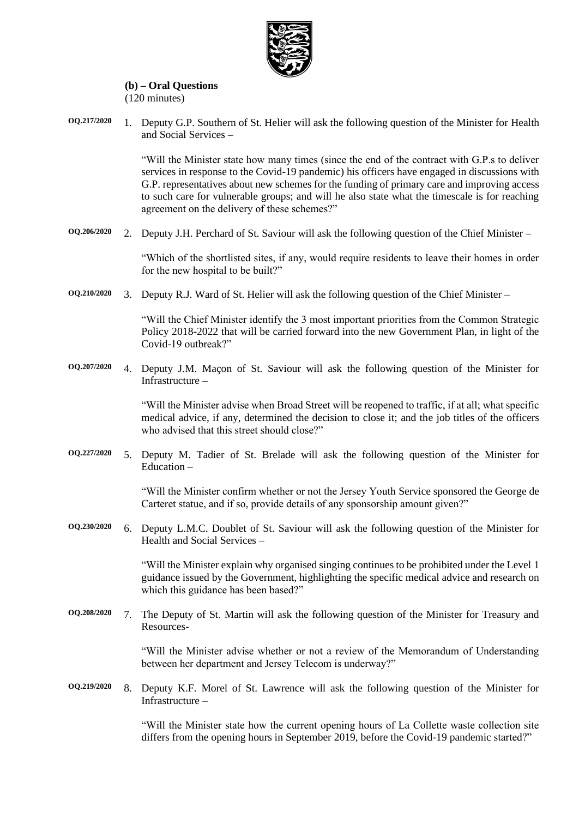

#### **(b) – Oral Questions** (120 minutes)

**OQ.217/2020** 1. Deputy G.P. Southern of St. Helier will ask the following question of the Minister for Health and Social Services –

> "Will the Minister state how many times (since the end of the contract with G.P.s to deliver services in response to the Covid-19 pandemic) his officers have engaged in discussions with G.P. representatives about new schemes for the funding of primary care and improving access to such care for vulnerable groups; and will he also state what the timescale is for reaching agreement on the delivery of these schemes?"

**OQ.206/2020** 2. Deputy J.H. Perchard of St. Saviour will ask the following question of the Chief Minister –

"Which of the shortlisted sites, if any, would require residents to leave their homes in order for the new hospital to be built?"

**OQ.210/2020** 3. Deputy R.J. Ward of St. Helier will ask the following question of the Chief Minister –

"Will the Chief Minister identify the 3 most important priorities from the Common Strategic Policy 2018-2022 that will be carried forward into the new Government Plan, in light of the Covid-19 outbreak?"

**OQ.207/2020** 4. Deputy J.M. Maçon of St. Saviour will ask the following question of the Minister for Infrastructure –

> "Will the Minister advise when Broad Street will be reopened to traffic, if at all; what specific medical advice, if any, determined the decision to close it; and the job titles of the officers who advised that this street should close?"

**OQ.227/2020** 5. Deputy M. Tadier of St. Brelade will ask the following question of the Minister for Education –

> "Will the Minister confirm whether or not the Jersey Youth Service sponsored the George de Carteret statue, and if so, provide details of any sponsorship amount given?"

**OQ.230/2020** 6. Deputy L.M.C. Doublet of St. Saviour will ask the following question of the Minister for Health and Social Services –

> "Will the Minister explain why organised singing continues to be prohibited under the Level 1 guidance issued by the Government, highlighting the specific medical advice and research on which this guidance has been based?"

**OQ.208/2020** 7. The Deputy of St. Martin will ask the following question of the Minister for Treasury and Resources-

> "Will the Minister advise whether or not a review of the Memorandum of Understanding between her department and Jersey Telecom is underway?"

**OQ.219/2020** 8. Deputy K.F. Morel of St. Lawrence will ask the following question of the Minister for Infrastructure –

> "Will the Minister state how the current opening hours of La Collette waste collection site differs from the opening hours in September 2019, before the Covid-19 pandemic started?"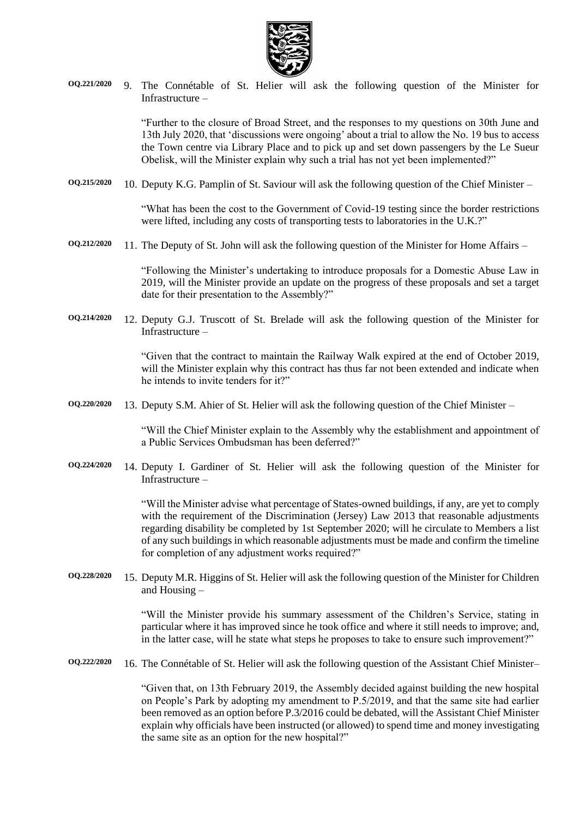

**OQ.221/2020** 9. The Connétable of St. Helier will ask the following question of the Minister for Infrastructure –

> "Further to the closure of Broad Street, and the responses to my questions on 30th June and 13th July 2020, that 'discussions were ongoing' about a trial to allow the No. 19 bus to access the Town centre via Library Place and to pick up and set down passengers by the Le Sueur Obelisk, will the Minister explain why such a trial has not yet been implemented?"

**OQ.215/2020** 10. Deputy K.G. Pamplin of St. Saviour will ask the following question of the Chief Minister –

"What has been the cost to the Government of Covid-19 testing since the border restrictions were lifted, including any costs of transporting tests to laboratories in the U.K.?"

**OQ.212/2020** 11. The Deputy of St. John will ask the following question of the Minister for Home Affairs –

"Following the Minister's undertaking to introduce proposals for a Domestic Abuse Law in 2019, will the Minister provide an update on the progress of these proposals and set a target date for their presentation to the Assembly?"

**OQ.214/2020** 12. Deputy G.J. Truscott of St. Brelade will ask the following question of the Minister for Infrastructure –

> "Given that the contract to maintain the Railway Walk expired at the end of October 2019, will the Minister explain why this contract has thus far not been extended and indicate when he intends to invite tenders for it?"

**OQ.220/2020** 13. Deputy S.M. Ahier of St. Helier will ask the following question of the Chief Minister –

"Will the Chief Minister explain to the Assembly why the establishment and appointment of a Public Services Ombudsman has been deferred?"

**OQ.224/2020** 14. Deputy I. Gardiner of St. Helier will ask the following question of the Minister for Infrastructure –

> "Will the Minister advise what percentage of States-owned buildings, if any, are yet to comply with the requirement of the Discrimination (Jersey) Law 2013 that reasonable adjustments regarding disability be completed by 1st September 2020; will he circulate to Members a list of any such buildings in which reasonable adjustments must be made and confirm the timeline for completion of any adjustment works required?"

**OQ.228/2020** 15. Deputy M.R. Higgins of St. Helier will ask the following question of the Minister for Children and Housing –

> "Will the Minister provide his summary assessment of the Children's Service, stating in particular where it has improved since he took office and where it still needs to improve; and, in the latter case, will he state what steps he proposes to take to ensure such improvement?"

**OQ.222/2020** 16. The Connétable of St. Helier will ask the following question of the Assistant Chief Minister–

"Given that, on 13th February 2019, the Assembly decided against building the new hospital on People's Park by adopting my amendment to P.5/2019, and that the same site had earlier been removed as an option before P.3/2016 could be debated, will the Assistant Chief Minister explain why officials have been instructed (or allowed) to spend time and money investigating the same site as an option for the new hospital?"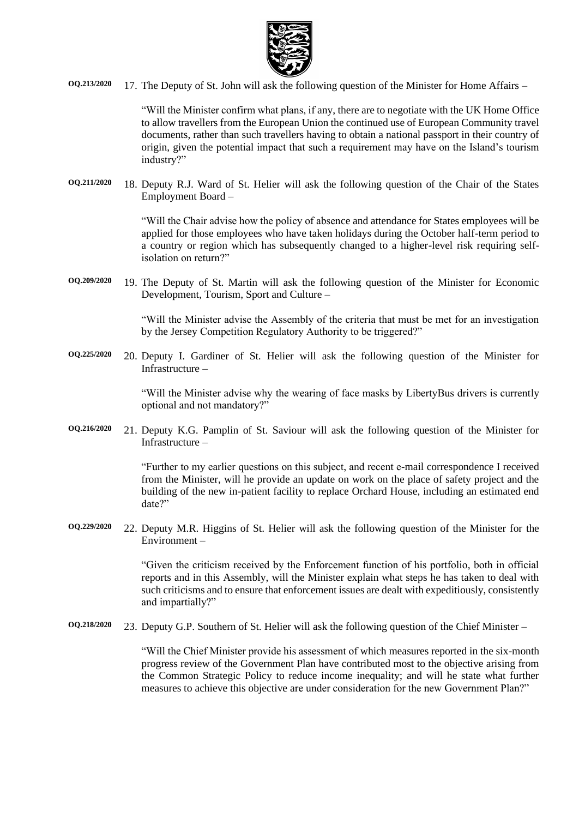

**OQ.213/2020** 17. The Deputy of St. John will ask the following question of the Minister for Home Affairs –

"Will the Minister confirm what plans, if any, there are to negotiate with the UK Home Office to allow travellers from the European Union the continued use of European Community travel documents, rather than such travellers having to obtain a national passport in their country of origin, given the potential impact that such a requirement may have on the Island's tourism industry?"

**OQ.211/2020** 18. Deputy R.J. Ward of St. Helier will ask the following question of the Chair of the States Employment Board –

> "Will the Chair advise how the policy of absence and attendance for States employees will be applied for those employees who have taken holidays during the October half-term period to a country or region which has subsequently changed to a higher-level risk requiring selfisolation on return?"

**OQ.209/2020** 19. The Deputy of St. Martin will ask the following question of the Minister for Economic Development, Tourism, Sport and Culture –

> "Will the Minister advise the Assembly of the criteria that must be met for an investigation by the Jersey Competition Regulatory Authority to be triggered?"

**OQ.225/2020** 20. Deputy I. Gardiner of St. Helier will ask the following question of the Minister for Infrastructure –

> "Will the Minister advise why the wearing of face masks by LibertyBus drivers is currently optional and not mandatory?"

**OQ.216/2020** 21. Deputy K.G. Pamplin of St. Saviour will ask the following question of the Minister for Infrastructure –

> "Further to my earlier questions on this subject, and recent e-mail correspondence I received from the Minister, will he provide an update on work on the place of safety project and the building of the new in-patient facility to replace Orchard House, including an estimated end date?"

**OQ.229/2020** 22. Deputy M.R. Higgins of St. Helier will ask the following question of the Minister for the Environment –

> "Given the criticism received by the Enforcement function of his portfolio, both in official reports and in this Assembly, will the Minister explain what steps he has taken to deal with such criticisms and to ensure that enforcement issues are dealt with expeditiously, consistently and impartially?"

**OQ.218/2020** 23. Deputy G.P. Southern of St. Helier will ask the following question of the Chief Minister –

"Will the Chief Minister provide his assessment of which measures reported in the six-month progress review of the Government Plan have contributed most to the objective arising from the Common Strategic Policy to reduce income inequality; and will he state what further measures to achieve this objective are under consideration for the new Government Plan?"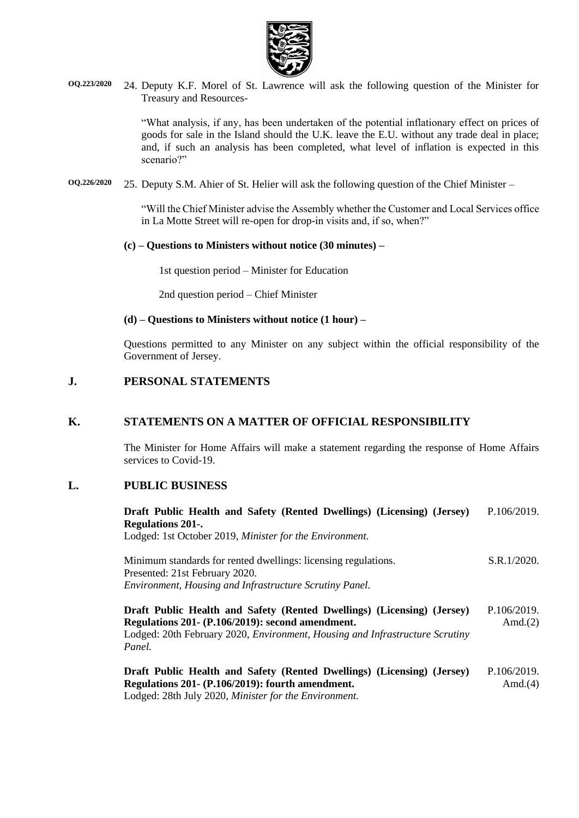

**OQ.223/2020** 24. Deputy K.F. Morel of St. Lawrence will ask the following question of the Minister for Treasury and Resources-

> "What analysis, if any, has been undertaken of the potential inflationary effect on prices of goods for sale in the Island should the U.K. leave the E.U. without any trade deal in place; and, if such an analysis has been completed, what level of inflation is expected in this scenario?"

**OQ.226/2020** 25. Deputy S.M. Ahier of St. Helier will ask the following question of the Chief Minister –

"Will the Chief Minister advise the Assembly whether the Customer and Local Services office in La Motte Street will re-open for drop-in visits and, if so, when?"

#### **(c) – Questions to Ministers without notice (30 minutes) –**

1st question period – Minister for Education

2nd question period – Chief Minister

#### **(d) – Questions to Ministers without notice (1 hour) –**

Questions permitted to any Minister on any subject within the official responsibility of the Government of Jersey.

### **J. PERSONAL STATEMENTS**

#### **K. STATEMENTS ON A MATTER OF OFFICIAL RESPONSIBILITY**

The Minister for Home Affairs will make a statement regarding the response of Home Affairs services to Covid-19.

### **L. PUBLIC BUSINESS**

| Draft Public Health and Safety (Rented Dwellings) (Licensing) (Jersey)       | P.106/2019. |
|------------------------------------------------------------------------------|-------------|
| <b>Regulations 201-.</b>                                                     |             |
| Lodged: 1st October 2019, Minister for the Environment.                      |             |
|                                                                              |             |
| Minimum standards for rented dwellings: licensing regulations.               | S.R.1/2020. |
| Presented: 21st February 2020.                                               |             |
| Environment, Housing and Infrastructure Scrutiny Panel.                      |             |
|                                                                              |             |
| Draft Public Health and Safety (Rented Dwellings) (Licensing) (Jersey)       | P.106/2019. |
| Regulations 201 - (P.106/2019): second amendment.                            | Amd. $(2)$  |
| Lodged: 20th February 2020, Environment, Housing and Infrastructure Scrutiny |             |
| Panel.                                                                       |             |
|                                                                              |             |
| Draft Public Health and Safety (Rented Dwellings) (Licensing) (Jersey)       | P.106/2019. |
| Regulations 201 - (P.106/2019): fourth amendment.                            | Amd. $(4)$  |
| Lodged: 28th July 2020, Minister for the Environment.                        |             |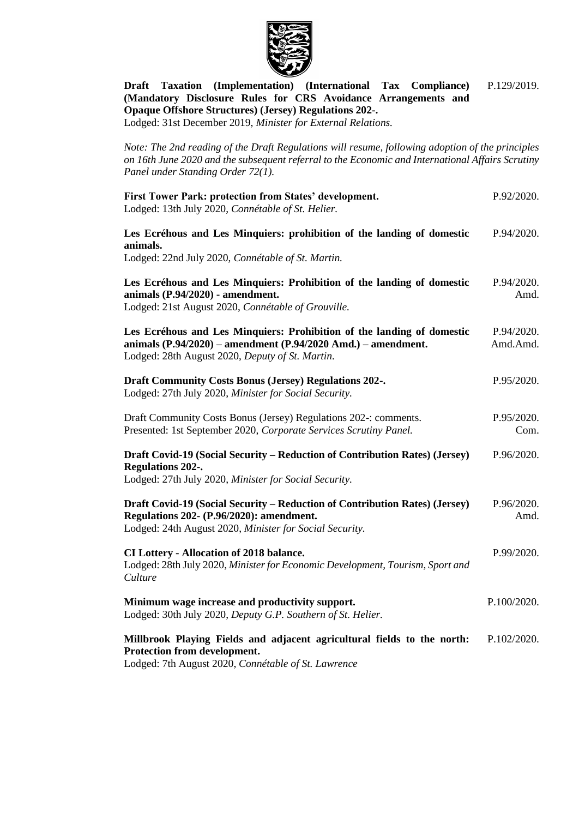

**[Draft Taxation \(Implementation\) \(International Tax Compliance\)](https://statesassembly.gov.je/assemblypropositions/2019/p.129-2019.pdf)  [\(Mandatory Disclosure Rules for CRS Avoidance Arrangements and](https://statesassembly.gov.je/assemblypropositions/2019/p.129-2019.pdf)  [Opaque Offshore Structures\) \(Jersey\) Regulations 202-.](https://statesassembly.gov.je/assemblypropositions/2019/p.129-2019.pdf)** [P.129/2019.](https://statesassembly.gov.je/assemblypropositions/2019/p.129-2019.pdf)

Lodged: 31st December 2019, *[Minister for External Relations.](https://statesassembly.gov.je/assemblypropositions/2019/p.129-2019.pdf)*

*Note: The 2nd reading of the Draft Regulations will resume, following adoption of the principles on 16th June 2020 and the subsequent referral to the Economic and International Affairs Scrutiny Panel under Standing Order 72(1).* 

| First Tower Park: protection from States' development.<br>Lodged: 13th July 2020, Connétable of St. Helier.                                                                                    | P.92/2020.             |
|------------------------------------------------------------------------------------------------------------------------------------------------------------------------------------------------|------------------------|
| Les Ecréhous and Les Minquiers: prohibition of the landing of domestic<br>animals.<br>Lodged: 22nd July 2020, Connétable of St. Martin.                                                        | P.94/2020.             |
| Les Ecréhous and Les Minquiers: Prohibition of the landing of domestic<br>animals (P.94/2020) - amendment.<br>Lodged: 21st August 2020, Connétable of Grouville.                               | P.94/2020.<br>Amd.     |
| Les Ecréhous and Les Minquiers: Prohibition of the landing of domestic<br>animals $(P.94/2020)$ - amendment $(P.94/2020$ Amd.) - amendment.<br>Lodged: 28th August 2020, Deputy of St. Martin. | P.94/2020.<br>Amd.Amd. |
| <b>Draft Community Costs Bonus (Jersey) Regulations 202-.</b><br>Lodged: 27th July 2020, Minister for Social Security.                                                                         | P.95/2020.             |
| Draft Community Costs Bonus (Jersey) Regulations 202-: comments.<br>Presented: 1st September 2020, Corporate Services Scrutiny Panel.                                                          | P.95/2020.<br>Com.     |
| Draft Covid-19 (Social Security – Reduction of Contribution Rates) (Jersey)<br><b>Regulations 202-.</b><br>Lodged: 27th July 2020, Minister for Social Security.                               | P.96/2020.             |
| Draft Covid-19 (Social Security – Reduction of Contribution Rates) (Jersey)<br>Regulations 202- (P.96/2020): amendment.<br>Lodged: 24th August 2020, Minister for Social Security.             | P.96/2020.<br>Amd.     |
| <b>CI Lottery - Allocation of 2018 balance.</b><br>Lodged: 28th July 2020, Minister for Economic Development, Tourism, Sport and<br>Culture                                                    | P.99/2020.             |
| Minimum wage increase and productivity support.<br>Lodged: 30th July 2020, Deputy G.P. Southern of St. Helier.                                                                                 | P.100/2020.            |
| Millbrook Playing Fields and adjacent agricultural fields to the north:<br>Protection from development.<br>Lodged: 7th August 2020, Connétable of St. Lawrence                                 | P.102/2020.            |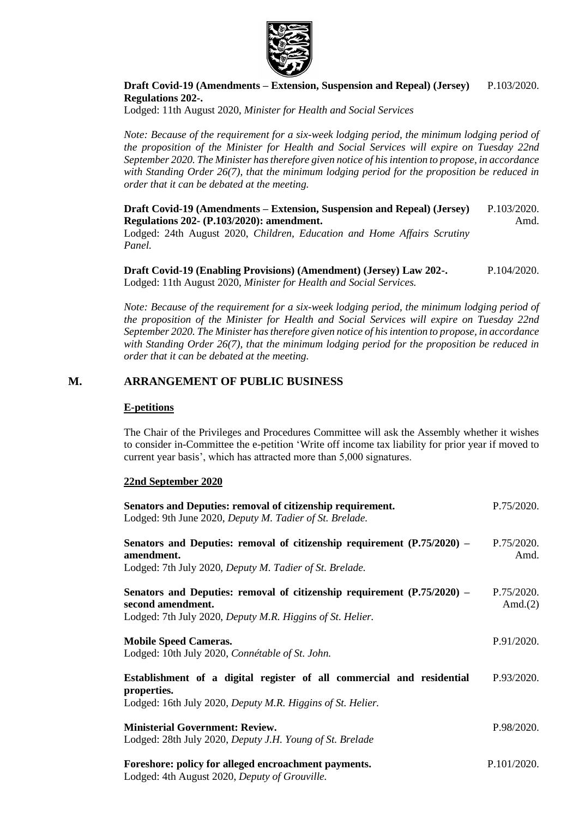

#### **Draft Covid-19 (Amendments – [Extension, Suspension and Repeal\) \(Jersey\)](https://statesassembly.gov.je/AssemblyPropositions/2020/P.103-2020.pdf)  [Regulations 202-.](https://statesassembly.gov.je/AssemblyPropositions/2020/P.103-2020.pdf)**  [P.103/2020.](https://statesassembly.gov.je/AssemblyPropositions/2020/P.103-2020.pdf)

Lodged: 11th August 2020, *[Minister for Health and Social Services](https://statesassembly.gov.je/AssemblyPropositions/2020/P.103-2020.pdf)*

*Note: Because of the requirement for a six-week lodging period, the minimum lodging period of the proposition of the Minister for Health and Social Services will expire on Tuesday 22nd September 2020. The Minister has therefore given notice of his intention to propose, in accordance with Standing Order 26(7), that the minimum lodging period for the proposition be reduced in order that it can be debated at the meeting.*

**Draft Covid-19 (Amendments – [Extension, Suspension and Repeal\) \(Jersey\)](https://statesassembly.gov.je/AssemblyPropositions/2020/P.103-2020%20Amd.pdf)  Regulations 202- [\(P.103/2020\): amendment.](https://statesassembly.gov.je/AssemblyPropositions/2020/P.103-2020%20Amd.pdf)**  [P.103/2020.](https://statesassembly.gov.je/AssemblyPropositions/2020/P.103-2020%20Amd.pdf) [Amd.](https://statesassembly.gov.je/AssemblyPropositions/2020/P.103-2020%20Amd.pdf)

Lodged: 24th August 2020, *[Children, Education and Home Affairs Scrutiny](https://statesassembly.gov.je/AssemblyPropositions/2020/P.103-2020%20Amd.pdf)  [Panel.](https://statesassembly.gov.je/AssemblyPropositions/2020/P.103-2020%20Amd.pdf)*

**[Draft Covid-19 \(Enabling Provisions\) \(Amendment\) \(Jersey\) Law 202-.](https://statesassembly.gov.je/AssemblyPropositions/2020/P.104-2020.pdf)** Lodged: 11th August 2020, *[Minister for Health and Social Services.](https://statesassembly.gov.je/AssemblyPropositions/2020/P.104-2020.pdf)* [P.104/2020.](https://statesassembly.gov.je/AssemblyPropositions/2020/P.104-2020.pdf)

*Note: Because of the requirement for a six-week lodging period, the minimum lodging period of the proposition of the Minister for Health and Social Services will expire on Tuesday 22nd September 2020. The Minister has therefore given notice of his intention to propose, in accordance with Standing Order 26(7), that the minimum lodging period for the proposition be reduced in order that it can be debated at the meeting.*

### **M. ARRANGEMENT OF PUBLIC BUSINESS**

#### **E-petitions**

The Chair of the Privileges and Procedures Committee will ask the Assembly whether it wishes to consider in-Committee the e-petition 'Write off income tax liability for prior year if moved to current year basis', which has attracted more than 5,000 signatures.

#### **22nd September 2020**

| Senators and Deputies: removal of citizenship requirement.<br>Lodged: 9th June 2020, Deputy M. Tadier of St. Brelade.                                     | P.75/2020.               |
|-----------------------------------------------------------------------------------------------------------------------------------------------------------|--------------------------|
| Senators and Deputies: removal of citizenship requirement $(P.75/2020)$ –<br>amendment.<br>Lodged: 7th July 2020, Deputy M. Tadier of St. Brelade.        | P.75/2020.<br>Amd.       |
| Senators and Deputies: removal of citizenship requirement (P.75/2020) –<br>second amendment.<br>Lodged: 7th July 2020, Deputy M.R. Higgins of St. Helier. | P.75/2020.<br>Amd. $(2)$ |
| <b>Mobile Speed Cameras.</b><br>Lodged: 10th July 2020, Connétable of St. John.                                                                           | P.91/2020.               |
| Establishment of a digital register of all commercial and residential<br>properties.<br>Lodged: 16th July 2020, Deputy M.R. Higgins of St. Helier.        | P.93/2020.               |
| <b>Ministerial Government: Review.</b><br>Lodged: 28th July 2020, Deputy J.H. Young of St. Brelade                                                        | P.98/2020.               |
| Foreshore: policy for alleged encroachment payments.<br>Lodged: 4th August 2020, Deputy of Grouville.                                                     | P.101/2020.              |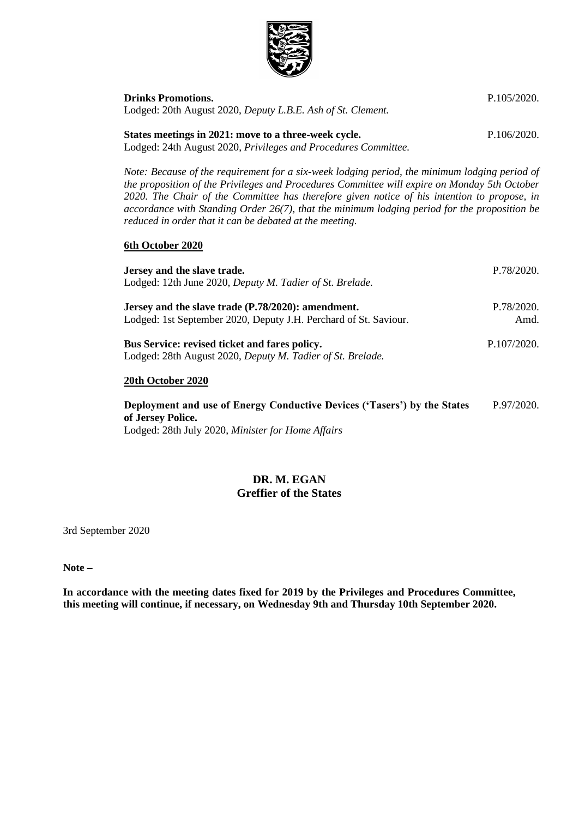

**[Drinks Promotions.](https://statesassembly.gov.je/AssemblyPropositions/2020/P.105-2020.pdf)**

| Lodged: 20th August 2020, Deputy L.B.E. Ash of St. Clement.                                                                                                                                                                                                                                                                                                                                                                                                                                                                  |             |
|------------------------------------------------------------------------------------------------------------------------------------------------------------------------------------------------------------------------------------------------------------------------------------------------------------------------------------------------------------------------------------------------------------------------------------------------------------------------------------------------------------------------------|-------------|
| States meetings in 2021: move to a three-week cycle.                                                                                                                                                                                                                                                                                                                                                                                                                                                                         | P.106/2020. |
| Lodged: 24th August 2020, Privileges and Procedures Committee.<br>Note: Because of the requirement for a six-week lodging period, the minimum lodging period of<br>the proposition of the Privileges and Procedures Committee will expire on Monday 5th October<br>2020. The Chair of the Committee has therefore given notice of his intention to propose, in<br>accordance with Standing Order $26(7)$ , that the minimum lodging period for the proposition be<br>reduced in order that it can be debated at the meeting. |             |
| 6th October 2020<br>Jersey and the slave trade.                                                                                                                                                                                                                                                                                                                                                                                                                                                                              | P.78/2020.  |

| $\sigma$ . $\sigma$ , and the side $\sigma$ is a set<br>Lodged: 12th June 2020, Deputy M. Tadier of St. Brelade.       |                    |
|------------------------------------------------------------------------------------------------------------------------|--------------------|
| Jersey and the slave trade (P.78/2020): amendment.<br>Lodged: 1st September 2020, Deputy J.H. Perchard of St. Saviour. | P.78/2020.<br>Amd. |
| <b>Bus Service: revised ticket and fares policy.</b><br>Lodged: 28th August 2020, Deputy M. Tadier of St. Brelade.     | P.107/2020.        |
| 20th October 2020                                                                                                      |                    |
| Deployment and use of Energy Conductive Devices ('Tasers') by the States                                               | P.97/2020.         |

**[Deployment and use of Energy Conductive Devices \('Tasers'\) by the States](https://statesassembly.gov.je/AssemblyPropositions/2020/P.97-2020.pdf)  [of Jersey Police.](https://statesassembly.gov.je/AssemblyPropositions/2020/P.97-2020.pdf)** Lodged: 28th July 2020, *[Minister for Home Affairs](https://statesassembly.gov.je/AssemblyPropositions/2020/P.97-2020.pdf)* [P.97/2020.](https://statesassembly.gov.je/AssemblyPropositions/2020/P.97-2020.pdf)

### **DR. M. EGAN Greffier of the States**

3rd September 2020

**Note –**

**In accordance with the meeting dates fixed for 2019 by the Privileges and Procedures Committee, this meeting will continue, if necessary, on Wednesday 9th and Thursday 10th September 2020.**

[P.105/2020.](https://statesassembly.gov.je/AssemblyPropositions/2020/P.105-2020.pdf)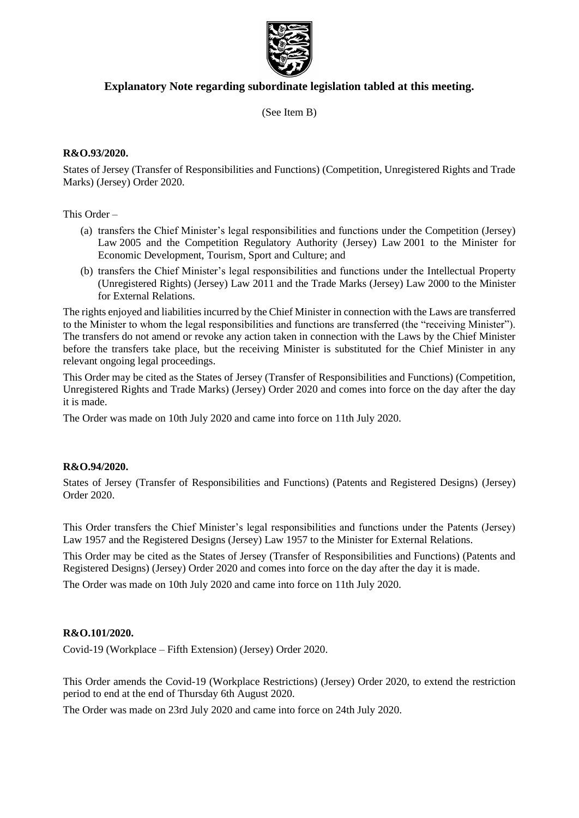

### **Explanatory Note regarding subordinate legislation tabled at this meeting.**

(See Item B)

### **R&O.93/2020.**

States of Jersey (Transfer of Responsibilities and Functions) (Competition, Unregistered Rights and Trade Marks) (Jersey) Order 2020.

This Order –

- (a) transfers the Chief Minister's legal responsibilities and functions under the Competition (Jersey) Law 2005 and the Competition Regulatory Authority (Jersey) Law 2001 to the Minister for Economic Development, Tourism, Sport and Culture; and
- (b) transfers the Chief Minister's legal responsibilities and functions under the Intellectual Property (Unregistered Rights) (Jersey) Law 2011 and the Trade Marks (Jersey) Law 2000 to the Minister for External Relations.

The rights enjoyed and liabilities incurred by the Chief Minister in connection with the Laws are transferred to the Minister to whom the legal responsibilities and functions are transferred (the "receiving Minister"). The transfers do not amend or revoke any action taken in connection with the Laws by the Chief Minister before the transfers take place, but the receiving Minister is substituted for the Chief Minister in any relevant ongoing legal proceedings.

This Order may be cited as the States of Jersey (Transfer of Responsibilities and Functions) (Competition, Unregistered Rights and Trade Marks) (Jersey) Order 2020 and comes into force on the day after the day it is made.

The Order was made on 10th July 2020 and came into force on 11th July 2020.

#### **R&O.94/2020.**

States of Jersey (Transfer of Responsibilities and Functions) (Patents and Registered Designs) (Jersey) Order 2020.

This Order transfers the Chief Minister's legal responsibilities and functions under the Patents (Jersey) Law 1957 and the Registered Designs (Jersey) Law 1957 to the Minister for External Relations.

This Order may be cited as the States of Jersey (Transfer of Responsibilities and Functions) (Patents and Registered Designs) (Jersey) Order 2020 and comes into force on the day after the day it is made.

The Order was made on 10th July 2020 and came into force on 11th July 2020.

### **R&O.101/2020.**

Covid-19 (Workplace – Fifth Extension) (Jersey) Order 2020.

This Order amends the Covid-19 (Workplace Restrictions) (Jersey) Order 2020, to extend the restriction period to end at the end of Thursday 6th August 2020.

The Order was made on 23rd July 2020 and came into force on 24th July 2020.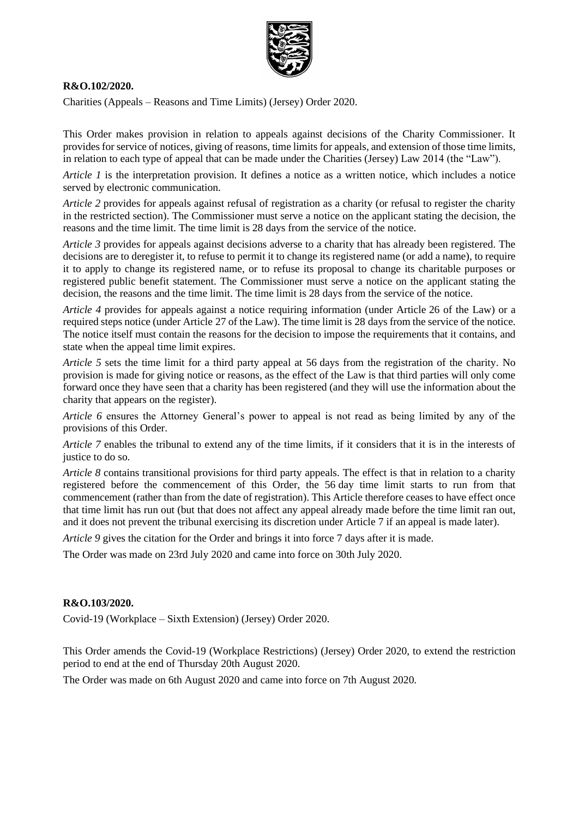

#### **R&O.102/2020.**

Charities (Appeals – Reasons and Time Limits) (Jersey) Order 2020.

This Order makes provision in relation to appeals against decisions of the Charity Commissioner. It provides for service of notices, giving of reasons, time limits for appeals, and extension of those time limits, in relation to each type of appeal that can be made under the Charities (Jersey) Law 2014 (the "Law").

*Article 1* is the interpretation provision. It defines a notice as a written notice, which includes a notice served by electronic communication.

*Article 2* provides for appeals against refusal of registration as a charity (or refusal to register the charity in the restricted section). The Commissioner must serve a notice on the applicant stating the decision, the reasons and the time limit. The time limit is 28 days from the service of the notice.

*Article 3* provides for appeals against decisions adverse to a charity that has already been registered. The decisions are to deregister it, to refuse to permit it to change its registered name (or add a name), to require it to apply to change its registered name, or to refuse its proposal to change its charitable purposes or registered public benefit statement. The Commissioner must serve a notice on the applicant stating the decision, the reasons and the time limit. The time limit is 28 days from the service of the notice.

*Article 4* provides for appeals against a notice requiring information (under Article 26 of the Law) or a required steps notice (under Article 27 of the Law). The time limit is 28 days from the service of the notice. The notice itself must contain the reasons for the decision to impose the requirements that it contains, and state when the appeal time limit expires.

*Article 5* sets the time limit for a third party appeal at 56 days from the registration of the charity. No provision is made for giving notice or reasons, as the effect of the Law is that third parties will only come forward once they have seen that a charity has been registered (and they will use the information about the charity that appears on the register).

*Article 6* ensures the Attorney General's power to appeal is not read as being limited by any of the provisions of this Order.

*Article 7* enables the tribunal to extend any of the time limits, if it considers that it is in the interests of justice to do so.

*Article 8* contains transitional provisions for third party appeals. The effect is that in relation to a charity registered before the commencement of this Order, the 56 day time limit starts to run from that commencement (rather than from the date of registration). This Article therefore ceases to have effect once that time limit has run out (but that does not affect any appeal already made before the time limit ran out, and it does not prevent the tribunal exercising its discretion under Article 7 if an appeal is made later).

*Article 9* gives the citation for the Order and brings it into force 7 days after it is made.

The Order was made on 23rd July 2020 and came into force on 30th July 2020.

### **R&O.103/2020.**

Covid-19 (Workplace – Sixth Extension) (Jersey) Order 2020.

This Order amends the Covid-19 (Workplace Restrictions) (Jersey) Order 2020, to extend the restriction period to end at the end of Thursday 20th August 2020.

The Order was made on 6th August 2020 and came into force on 7th August 2020.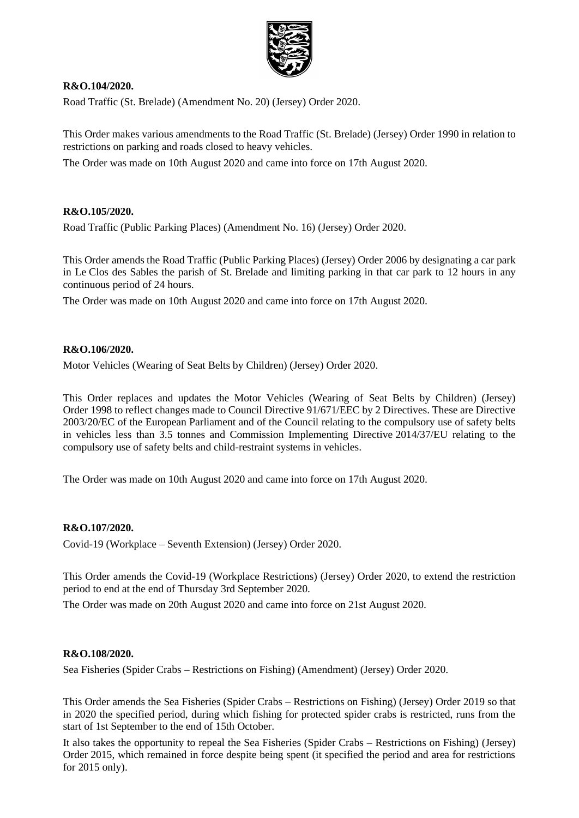

### **R&O.104/2020.**

Road Traffic (St. Brelade) (Amendment No. 20) (Jersey) Order 2020.

This Order makes various amendments to the Road Traffic (St. Brelade) (Jersey) Order 1990 in relation to restrictions on parking and roads closed to heavy vehicles.

The Order was made on 10th August 2020 and came into force on 17th August 2020.

### **R&O.105/2020.**

Road Traffic (Public Parking Places) (Amendment No. 16) (Jersey) Order 2020.

This Order amends the Road Traffic (Public Parking Places) (Jersey) Order 2006 by designating a car park in Le Clos des Sables the parish of St. Brelade and limiting parking in that car park to 12 hours in any continuous period of 24 hours.

The Order was made on 10th August 2020 and came into force on 17th August 2020.

#### **R&O.106/2020.**

Motor Vehicles (Wearing of Seat Belts by Children) (Jersey) Order 2020.

This Order replaces and updates the Motor Vehicles (Wearing of Seat Belts by Children) (Jersey) Order 1998 to reflect changes made to Council Directive 91/671/EEC by 2 Directives. These are Directive 2003/20/EC of the European Parliament and of the Council relating to the compulsory use of safety belts in vehicles less than 3.5 tonnes and Commission Implementing Directive 2014/37/EU relating to the compulsory use of safety belts and child-restraint systems in vehicles.

The Order was made on 10th August 2020 and came into force on 17th August 2020.

#### **R&O.107/2020.**

Covid-19 (Workplace – Seventh Extension) (Jersey) Order 2020.

This Order amends the Covid-19 (Workplace Restrictions) (Jersey) Order 2020, to extend the restriction period to end at the end of Thursday 3rd September 2020.

The Order was made on 20th August 2020 and came into force on 21st August 2020.

### **R&O.108/2020.**

Sea Fisheries (Spider Crabs – Restrictions on Fishing) (Amendment) (Jersey) Order 2020.

This Order amends the Sea Fisheries (Spider Crabs – Restrictions on Fishing) (Jersey) Order 2019 so that in 2020 the specified period, during which fishing for protected spider crabs is restricted, runs from the start of 1st September to the end of 15th October.

It also takes the opportunity to repeal the Sea Fisheries (Spider Crabs – Restrictions on Fishing) (Jersey) Order 2015, which remained in force despite being spent (it specified the period and area for restrictions for 2015 only).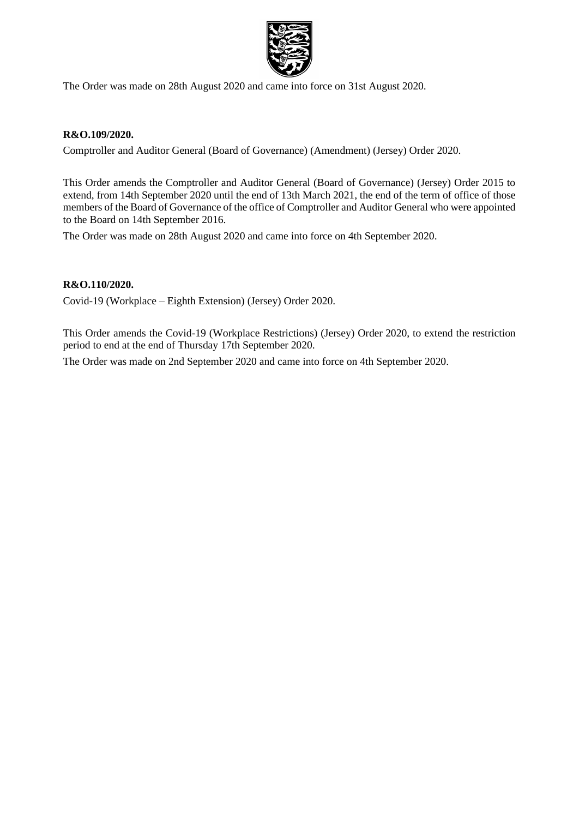

The Order was made on 28th August 2020 and came into force on 31st August 2020.

### **R&O.109/2020.**

Comptroller and Auditor General (Board of Governance) (Amendment) (Jersey) Order 2020.

This Order amends the Comptroller and Auditor General (Board of Governance) (Jersey) Order 2015 to extend, from 14th September 2020 until the end of 13th March 2021, the end of the term of office of those members of the Board of Governance of the office of Comptroller and Auditor General who were appointed to the Board on 14th September 2016.

The Order was made on 28th August 2020 and came into force on 4th September 2020.

### **R&O.110/2020.**

Covid-19 (Workplace – Eighth Extension) (Jersey) Order 2020.

This Order amends the Covid-19 (Workplace Restrictions) (Jersey) Order 2020, to extend the restriction period to end at the end of Thursday 17th September 2020.

The Order was made on 2nd September 2020 and came into force on 4th September 2020.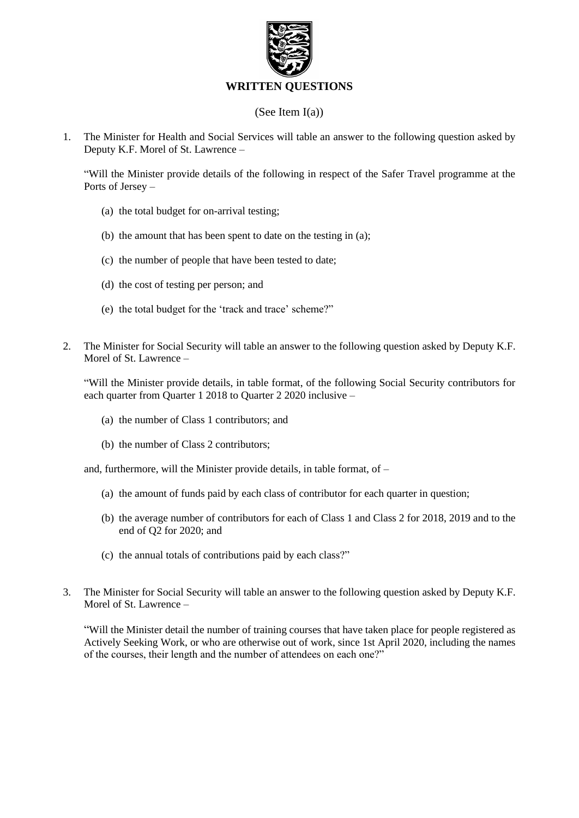

### **WRITTEN QUESTIONS**

### (See Item I(a))

1. The Minister for Health and Social Services will table an answer to the following question asked by Deputy K.F. Morel of St. Lawrence –

"Will the Minister provide details of the following in respect of the Safer Travel programme at the Ports of Jersey –

- (a) the total budget for on-arrival testing;
- (b) the amount that has been spent to date on the testing in (a);
- (c) the number of people that have been tested to date;
- (d) the cost of testing per person; and
- (e) the total budget for the 'track and trace' scheme?"
- 2. The Minister for Social Security will table an answer to the following question asked by Deputy K.F. Morel of St. Lawrence –

"Will the Minister provide details, in table format, of the following Social Security contributors for each quarter from Quarter 1 2018 to Quarter 2 2020 inclusive –

- (a) the number of Class 1 contributors; and
- (b) the number of Class 2 contributors;

and, furthermore, will the Minister provide details, in table format, of –

- (a) the amount of funds paid by each class of contributor for each quarter in question;
- (b) the average number of contributors for each of Class 1 and Class 2 for 2018, 2019 and to the end of Q2 for 2020; and
- (c) the annual totals of contributions paid by each class?"
- 3. The Minister for Social Security will table an answer to the following question asked by Deputy K.F. Morel of St. Lawrence –

"Will the Minister detail the number of training courses that have taken place for people registered as Actively Seeking Work, or who are otherwise out of work, since 1st April 2020, including the names of the courses, their length and the number of attendees on each one?"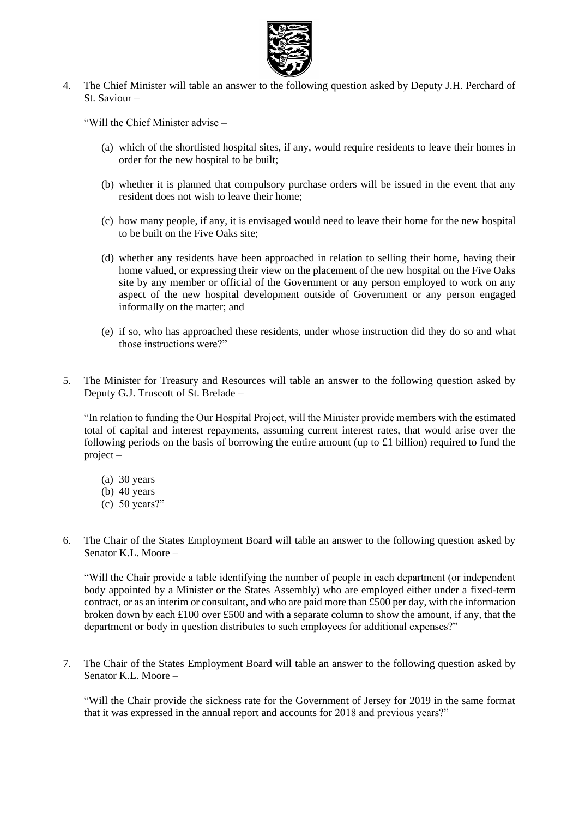

4. The Chief Minister will table an answer to the following question asked by Deputy J.H. Perchard of St. Saviour –

"Will the Chief Minister advise –

- (a) which of the shortlisted hospital sites, if any, would require residents to leave their homes in order for the new hospital to be built;
- (b) whether it is planned that compulsory purchase orders will be issued in the event that any resident does not wish to leave their home;
- (c) how many people, if any, it is envisaged would need to leave their home for the new hospital to be built on the Five Oaks site;
- (d) whether any residents have been approached in relation to selling their home, having their home valued, or expressing their view on the placement of the new hospital on the Five Oaks site by any member or official of the Government or any person employed to work on any aspect of the new hospital development outside of Government or any person engaged informally on the matter; and
- (e) if so, who has approached these residents, under whose instruction did they do so and what those instructions were?"
- 5. The Minister for Treasury and Resources will table an answer to the following question asked by Deputy G.J. Truscott of St. Brelade –

"In relation to funding the Our Hospital Project, will the Minister provide members with the estimated total of capital and interest repayments, assuming current interest rates, that would arise over the following periods on the basis of borrowing the entire amount (up to £1 billion) required to fund the project –

- (a) 30 years
- (b) 40 years
- (c) 50 years?"
- 6. The Chair of the States Employment Board will table an answer to the following question asked by Senator K.L. Moore –

"Will the Chair provide a table identifying the number of people in each department (or independent body appointed by a Minister or the States Assembly) who are employed either under a fixed-term contract, or as an interim or consultant, and who are paid more than £500 per day, with the information broken down by each £100 over £500 and with a separate column to show the amount, if any, that the department or body in question distributes to such employees for additional expenses?"

7. The Chair of the States Employment Board will table an answer to the following question asked by Senator K.L. Moore –

"Will the Chair provide the sickness rate for the Government of Jersey for 2019 in the same format that it was expressed in the annual report and accounts for 2018 and previous years?"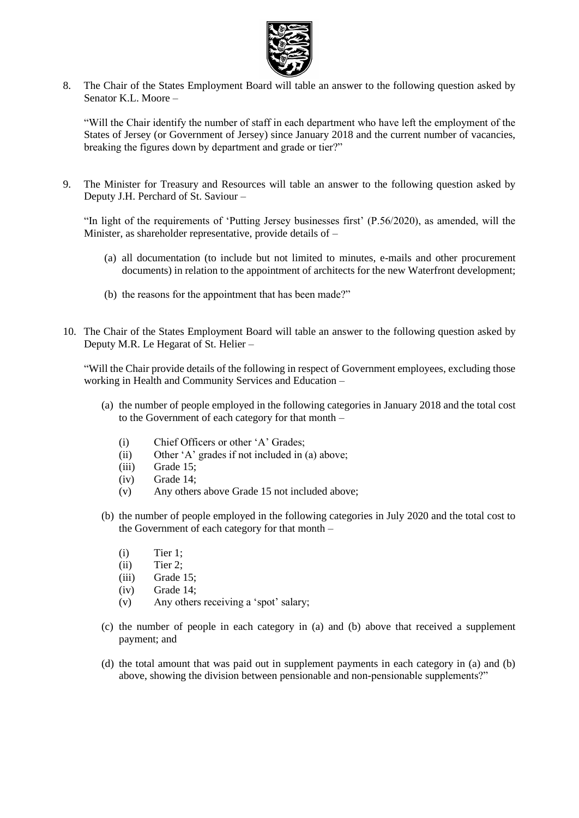

8. The Chair of the States Employment Board will table an answer to the following question asked by Senator K.L. Moore –

"Will the Chair identify the number of staff in each department who have left the employment of the States of Jersey (or Government of Jersey) since January 2018 and the current number of vacancies, breaking the figures down by department and grade or tier?"

9. The Minister for Treasury and Resources will table an answer to the following question asked by Deputy J.H. Perchard of St. Saviour –

"In light of the requirements of 'Putting Jersey businesses first' (P.56/2020), as amended, will the Minister, as shareholder representative, provide details of –

- (a) all documentation (to include but not limited to minutes, e-mails and other procurement documents) in relation to the appointment of architects for the new Waterfront development;
- (b) the reasons for the appointment that has been made?"
- 10. The Chair of the States Employment Board will table an answer to the following question asked by Deputy M.R. Le Hegarat of St. Helier –

"Will the Chair provide details of the following in respect of Government employees, excluding those working in Health and Community Services and Education –

- (a) the number of people employed in the following categories in January 2018 and the total cost to the Government of each category for that month –
	- (i) Chief Officers or other 'A' Grades;
	- (ii) Other 'A' grades if not included in (a) above;
	- (iii) Grade 15;
	- (iv) Grade 14;
	- (v) Any others above Grade 15 not included above;
- (b) the number of people employed in the following categories in July 2020 and the total cost to the Government of each category for that month –
	- (i) Tier 1;
	- (ii) Tier 2;
	- (iii) Grade 15;
	- (iv) Grade 14;
	- (v) Any others receiving a 'spot' salary;
- (c) the number of people in each category in (a) and (b) above that received a supplement payment; and
- (d) the total amount that was paid out in supplement payments in each category in (a) and (b) above, showing the division between pensionable and non-pensionable supplements?"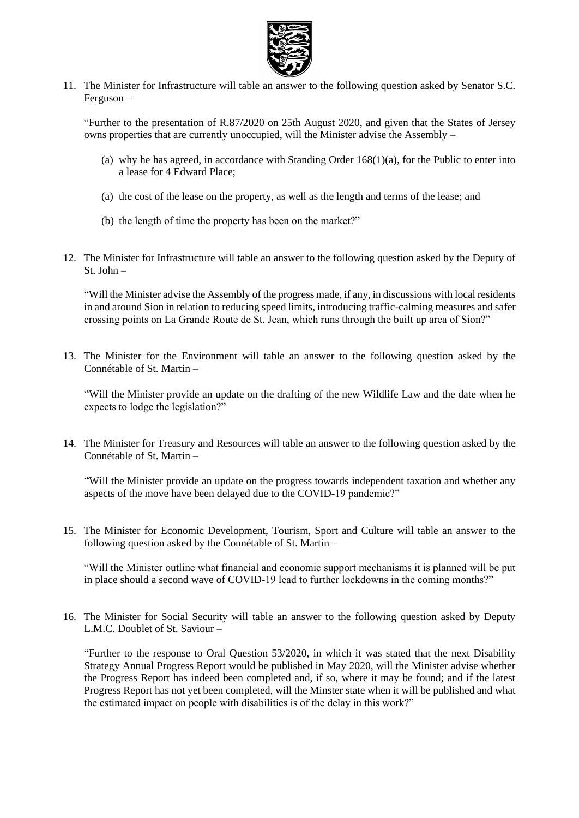

11. The Minister for Infrastructure will table an answer to the following question asked by Senator S.C. Ferguson –

"Further to the presentation of R.87/2020 on 25th August 2020, and given that the States of Jersey owns properties that are currently unoccupied, will the Minister advise the Assembly –

- (a) why he has agreed, in accordance with Standing Order 168(1)(a), for the Public to enter into a lease for 4 Edward Place;
- (a) the cost of the lease on the property, as well as the length and terms of the lease; and
- (b) the length of time the property has been on the market?"
- 12. The Minister for Infrastructure will table an answer to the following question asked by the Deputy of St. John –

"Will the Minister advise the Assembly of the progress made, if any, in discussions with local residents in and around Sion in relation to reducing speed limits, introducing traffic-calming measures and safer crossing points on La Grande Route de St. Jean, which runs through the built up area of Sion?"

13. The Minister for the Environment will table an answer to the following question asked by the Connétable of St. Martin –

"Will the Minister provide an update on the drafting of the new Wildlife Law and the date when he expects to lodge the legislation?"

14. The Minister for Treasury and Resources will table an answer to the following question asked by the Connétable of St. Martin –

"Will the Minister provide an update on the progress towards independent taxation and whether any aspects of the move have been delayed due to the COVID-19 pandemic?"

15. The Minister for Economic Development, Tourism, Sport and Culture will table an answer to the following question asked by the Connétable of St. Martin –

"Will the Minister outline what financial and economic support mechanisms it is planned will be put in place should a second wave of COVID-19 lead to further lockdowns in the coming months?"

16. The Minister for Social Security will table an answer to the following question asked by Deputy L.M.C. Doublet of St. Saviour –

"Further to the response to Oral Question 53/2020, in which it was stated that the next Disability Strategy Annual Progress Report would be published in May 2020, will the Minister advise whether the Progress Report has indeed been completed and, if so, where it may be found; and if the latest Progress Report has not yet been completed, will the Minster state when it will be published and what the estimated impact on people with disabilities is of the delay in this work?"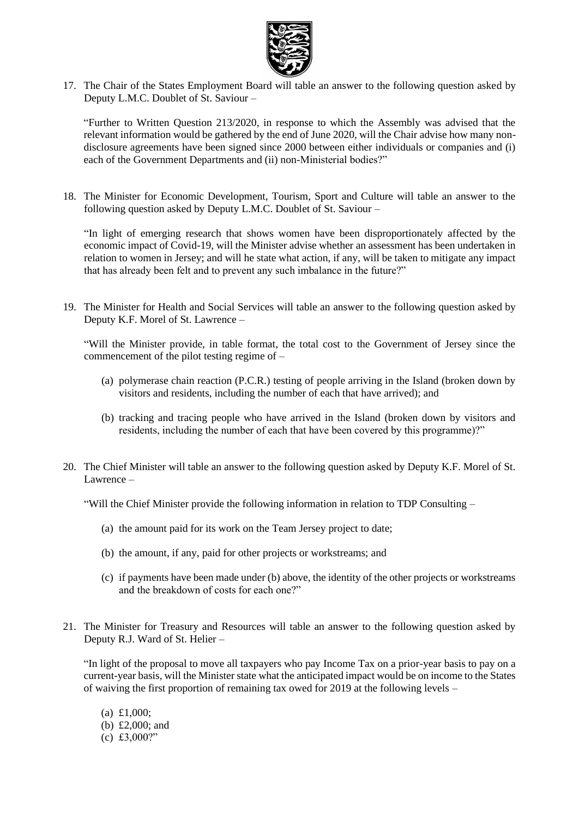

17. The Chair of the States Employment Board will table an answer to the following question asked by Deputy L.M.C. Doublet of St. Saviour –

"Further to Written Question 213/2020, in response to which the Assembly was advised that the relevant information would be gathered by the end of June 2020, will the Chair advise how many nondisclosure agreements have been signed since 2000 between either individuals or companies and (i) each of the Government Departments and (ii) non-Ministerial bodies?"

18. The Minister for Economic Development, Tourism, Sport and Culture will table an answer to the following question asked by Deputy L.M.C. Doublet of St. Saviour –

"In light of emerging research that shows women have been disproportionately affected by the economic impact of Covid-19, will the Minister advise whether an assessment has been undertaken in relation to women in Jersey; and will he state what action, if any, will be taken to mitigate any impact that has already been felt and to prevent any such imbalance in the future?"

19. The Minister for Health and Social Services will table an answer to the following question asked by Deputy K.F. Morel of St. Lawrence –

"Will the Minister provide, in table format, the total cost to the Government of Jersey since the commencement of the pilot testing regime of –

- (a) polymerase chain reaction (P.C.R.) testing of people arriving in the Island (broken down by visitors and residents, including the number of each that have arrived); and
- (b) tracking and tracing people who have arrived in the Island (broken down by visitors and residents, including the number of each that have been covered by this programme)?"
- 20. The Chief Minister will table an answer to the following question asked by Deputy K.F. Morel of St. Lawrence –

"Will the Chief Minister provide the following information in relation to TDP Consulting –

- (a) the amount paid for its work on the Team Jersey project to date;
- (b) the amount, if any, paid for other projects or workstreams; and
- (c) if payments have been made under (b) above, the identity of the other projects or workstreams and the breakdown of costs for each one?"
- 21. The Minister for Treasury and Resources will table an answer to the following question asked by Deputy R.J. Ward of St. Helier –

"In light of the proposal to move all taxpayers who pay Income Tax on a prior-year basis to pay on a current-year basis, will the Minister state what the anticipated impact would be on income to the States of waiving the first proportion of remaining tax owed for 2019 at the following levels –

(a) £1,000; (b) £2,000; and (c) £3,000?"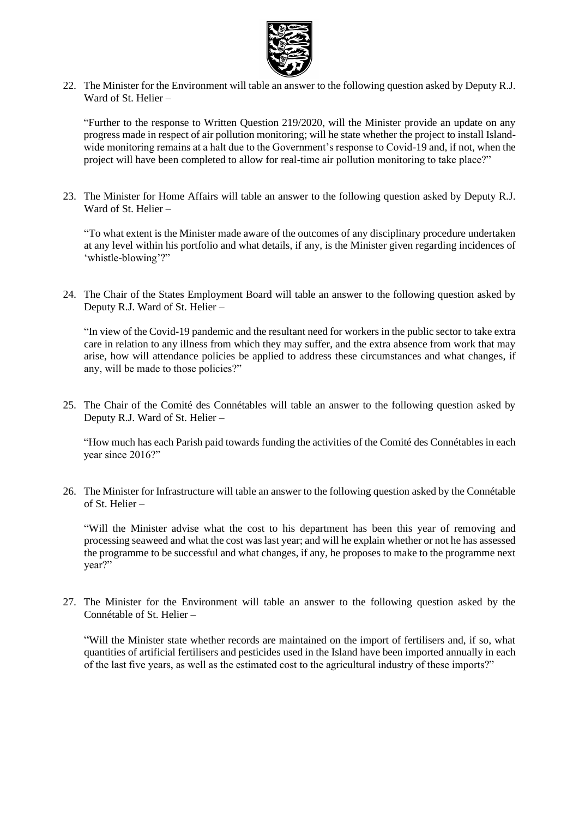

22. The Minister for the Environment will table an answer to the following question asked by Deputy R.J. Ward of St. Helier –

"Further to the response to Written Question 219/2020, will the Minister provide an update on any progress made in respect of air pollution monitoring; will he state whether the project to install Islandwide monitoring remains at a halt due to the Government's response to Covid-19 and, if not, when the project will have been completed to allow for real-time air pollution monitoring to take place?"

23. The Minister for Home Affairs will table an answer to the following question asked by Deputy R.J. Ward of St. Helier –

"To what extent is the Minister made aware of the outcomes of any disciplinary procedure undertaken at any level within his portfolio and what details, if any, is the Minister given regarding incidences of 'whistle-blowing'?"

24. The Chair of the States Employment Board will table an answer to the following question asked by Deputy R.J. Ward of St. Helier –

"In view of the Covid-19 pandemic and the resultant need for workers in the public sector to take extra care in relation to any illness from which they may suffer, and the extra absence from work that may arise, how will attendance policies be applied to address these circumstances and what changes, if any, will be made to those policies?"

25. The Chair of the Comité des Connétables will table an answer to the following question asked by Deputy R.J. Ward of St. Helier –

"How much has each Parish paid towards funding the activities of the Comité des Connétables in each year since 2016?"

26. The Minister for Infrastructure will table an answer to the following question asked by the Connétable of St. Helier –

"Will the Minister advise what the cost to his department has been this year of removing and processing seaweed and what the cost was last year; and will he explain whether or not he has assessed the programme to be successful and what changes, if any, he proposes to make to the programme next year?"

27. The Minister for the Environment will table an answer to the following question asked by the Connétable of St. Helier –

"Will the Minister state whether records are maintained on the import of fertilisers and, if so, what quantities of artificial fertilisers and pesticides used in the Island have been imported annually in each of the last five years, as well as the estimated cost to the agricultural industry of these imports?"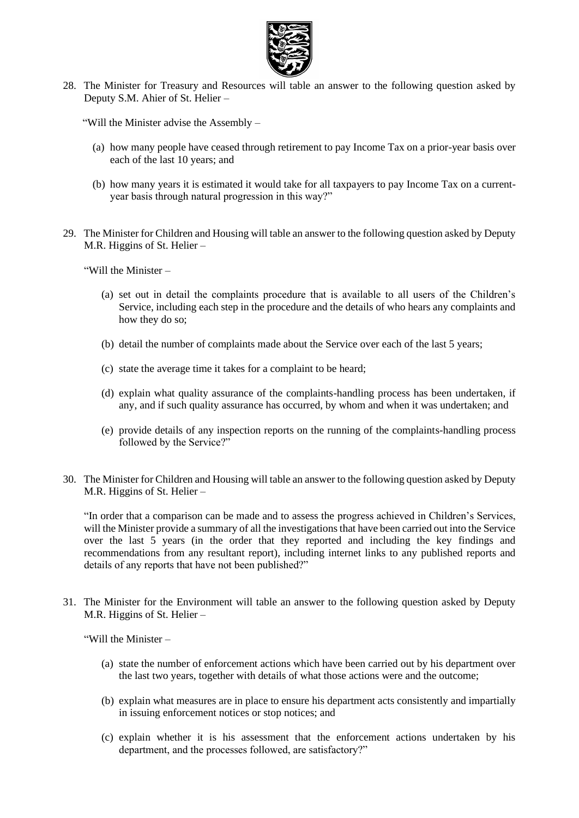

28. The Minister for Treasury and Resources will table an answer to the following question asked by Deputy S.M. Ahier of St. Helier –

"Will the Minister advise the Assembly –

- (a) how many people have ceased through retirement to pay Income Tax on a prior-year basis over each of the last 10 years; and
- (b) how many years it is estimated it would take for all taxpayers to pay Income Tax on a currentyear basis through natural progression in this way?"
- 29. The Minister for Children and Housing will table an answer to the following question asked by Deputy M.R. Higgins of St. Helier –

"Will the Minister –

- (a) set out in detail the complaints procedure that is available to all users of the Children's Service, including each step in the procedure and the details of who hears any complaints and how they do so;
- (b) detail the number of complaints made about the Service over each of the last 5 years;
- (c) state the average time it takes for a complaint to be heard;
- (d) explain what quality assurance of the complaints-handling process has been undertaken, if any, and if such quality assurance has occurred, by whom and when it was undertaken; and
- (e) provide details of any inspection reports on the running of the complaints-handling process followed by the Service?"
- 30. The Minister for Children and Housing will table an answer to the following question asked by Deputy M.R. Higgins of St. Helier –

"In order that a comparison can be made and to assess the progress achieved in Children's Services, will the Minister provide a summary of all the investigations that have been carried out into the Service over the last 5 years (in the order that they reported and including the key findings and recommendations from any resultant report), including internet links to any published reports and details of any reports that have not been published?"

31. The Minister for the Environment will table an answer to the following question asked by Deputy M.R. Higgins of St. Helier –

"Will the Minister –

- (a) state the number of enforcement actions which have been carried out by his department over the last two years, together with details of what those actions were and the outcome;
- (b) explain what measures are in place to ensure his department acts consistently and impartially in issuing enforcement notices or stop notices; and
- (c) explain whether it is his assessment that the enforcement actions undertaken by his department, and the processes followed, are satisfactory?"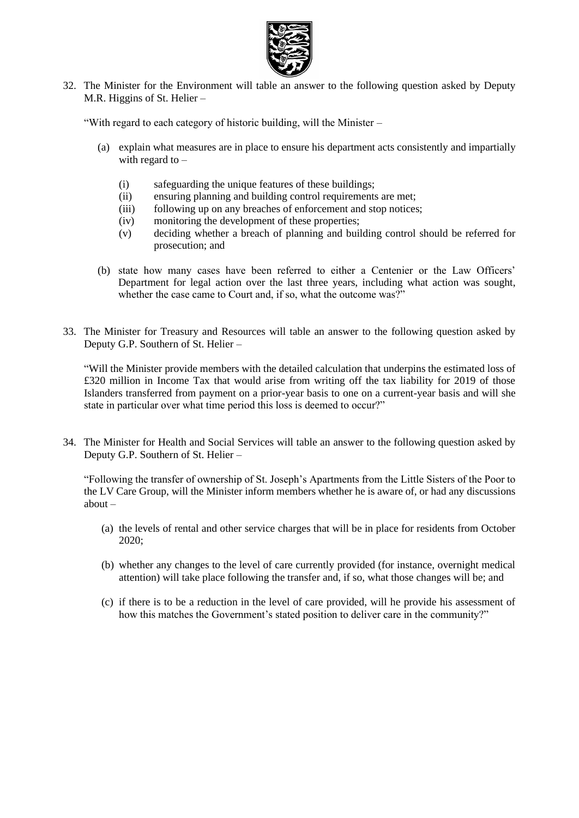

32. The Minister for the Environment will table an answer to the following question asked by Deputy M.R. Higgins of St. Helier –

"With regard to each category of historic building, will the Minister –

- (a) explain what measures are in place to ensure his department acts consistently and impartially with regard to  $-$ 
	- (i) safeguarding the unique features of these buildings;
	- (ii) ensuring planning and building control requirements are met;
	- (iii) following up on any breaches of enforcement and stop notices;
	- (iv) monitoring the development of these properties;
	- (v) deciding whether a breach of planning and building control should be referred for prosecution; and
- (b) state how many cases have been referred to either a Centenier or the Law Officers' Department for legal action over the last three years, including what action was sought, whether the case came to Court and, if so, what the outcome was?"
- 33. The Minister for Treasury and Resources will table an answer to the following question asked by Deputy G.P. Southern of St. Helier –

"Will the Minister provide members with the detailed calculation that underpins the estimated loss of £320 million in Income Tax that would arise from writing off the tax liability for 2019 of those Islanders transferred from payment on a prior-year basis to one on a current-year basis and will she state in particular over what time period this loss is deemed to occur?"

34. The Minister for Health and Social Services will table an answer to the following question asked by Deputy G.P. Southern of St. Helier –

"Following the transfer of ownership of St. Joseph's Apartments from the Little Sisters of the Poor to the LV Care Group, will the Minister inform members whether he is aware of, or had any discussions about –

- (a) the levels of rental and other service charges that will be in place for residents from October 2020;
- (b) whether any changes to the level of care currently provided (for instance, overnight medical attention) will take place following the transfer and, if so, what those changes will be; and
- (c) if there is to be a reduction in the level of care provided, will he provide his assessment of how this matches the Government's stated position to deliver care in the community?"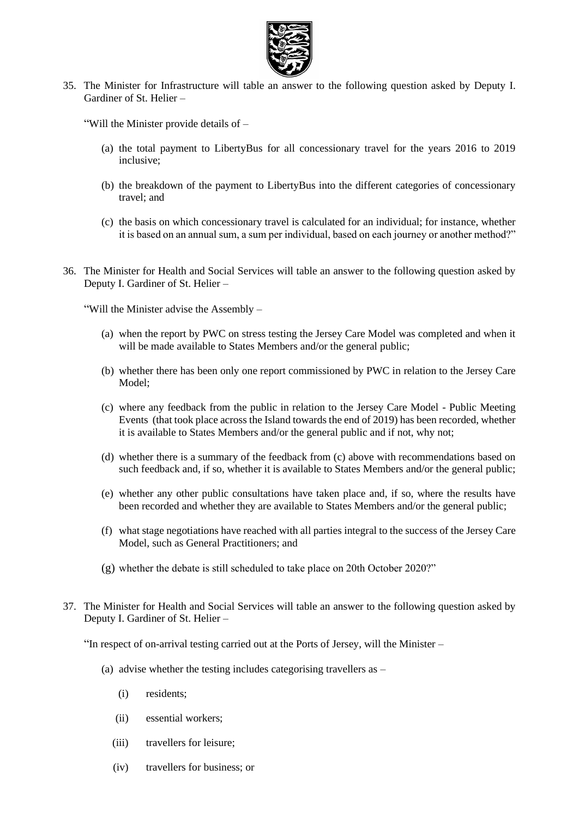

35. The Minister for Infrastructure will table an answer to the following question asked by Deputy I. Gardiner of St. Helier –

"Will the Minister provide details of –

- (a) the total payment to LibertyBus for all concessionary travel for the years 2016 to 2019 inclusive;
- (b) the breakdown of the payment to LibertyBus into the different categories of concessionary travel; and
- (c) the basis on which concessionary travel is calculated for an individual; for instance, whether it is based on an annual sum, a sum per individual, based on each journey or another method?"
- 36. The Minister for Health and Social Services will table an answer to the following question asked by Deputy I. Gardiner of St. Helier –

"Will the Minister advise the Assembly –

- (a) when the report by PWC on stress testing the Jersey Care Model was completed and when it will be made available to States Members and/or the general public;
- (b) whether there has been only one report commissioned by PWC in relation to the Jersey Care Model;
- (c) where any feedback from the public in relation to the Jersey Care Model Public Meeting Events (that took place across the Island towards the end of 2019) has been recorded, whether it is available to States Members and/or the general public and if not, why not;
- (d) whether there is a summary of the feedback from (c) above with recommendations based on such feedback and, if so, whether it is available to States Members and/or the general public;
- (e) whether any other public consultations have taken place and, if so, where the results have been recorded and whether they are available to States Members and/or the general public;
- (f) what stage negotiations have reached with all parties integral to the success of the Jersey Care Model, such as General Practitioners; and
- (g) whether the debate is still scheduled to take place on 20th October 2020?"
- 37. The Minister for Health and Social Services will table an answer to the following question asked by Deputy I. Gardiner of St. Helier –

"In respect of on-arrival testing carried out at the Ports of Jersey, will the Minister –

- (a) advise whether the testing includes categorising travellers as
	- (i) residents;
	- (ii) essential workers;
	- (iii) travellers for leisure;
	- (iv) travellers for business; or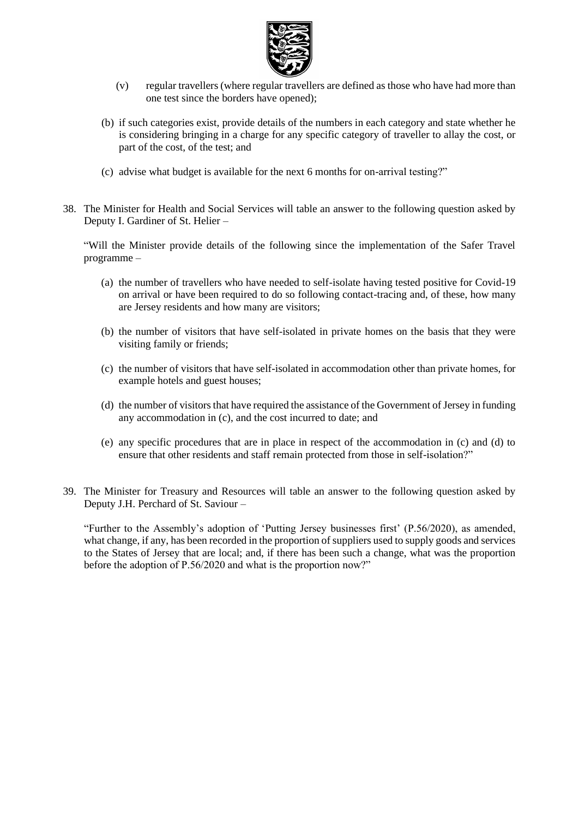

- (v) regular travellers (where regular travellers are defined as those who have had more than one test since the borders have opened);
- (b) if such categories exist, provide details of the numbers in each category and state whether he is considering bringing in a charge for any specific category of traveller to allay the cost, or part of the cost, of the test; and
- (c) advise what budget is available for the next 6 months for on-arrival testing?"
- 38. The Minister for Health and Social Services will table an answer to the following question asked by Deputy I. Gardiner of St. Helier –

"Will the Minister provide details of the following since the implementation of the Safer Travel programme –

- (a) the number of travellers who have needed to self-isolate having tested positive for Covid-19 on arrival or have been required to do so following contact-tracing and, of these, how many are Jersey residents and how many are visitors;
- (b) the number of visitors that have self-isolated in private homes on the basis that they were visiting family or friends;
- (c) the number of visitors that have self-isolated in accommodation other than private homes, for example hotels and guest houses;
- (d) the number of visitors that have required the assistance of the Government of Jersey in funding any accommodation in (c), and the cost incurred to date; and
- (e) any specific procedures that are in place in respect of the accommodation in (c) and (d) to ensure that other residents and staff remain protected from those in self-isolation?"
- 39. The Minister for Treasury and Resources will table an answer to the following question asked by Deputy J.H. Perchard of St. Saviour –

"Further to the Assembly's adoption of 'Putting Jersey businesses first' (P.56/2020), as amended, what change, if any, has been recorded in the proportion of suppliers used to supply goods and services to the States of Jersey that are local; and, if there has been such a change, what was the proportion before the adoption of P.56/2020 and what is the proportion now?"